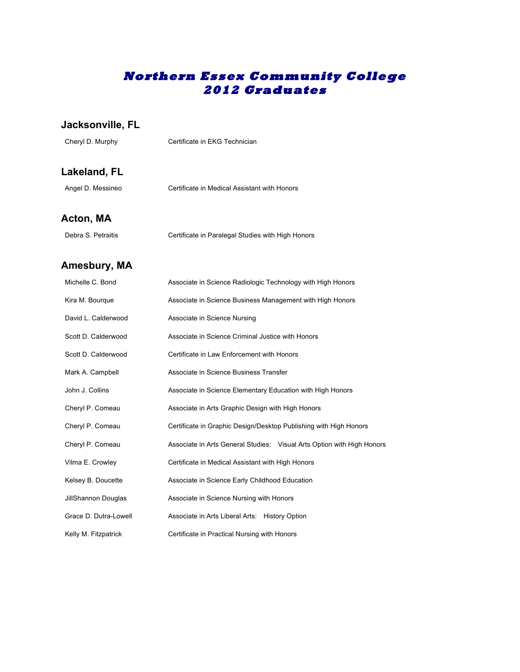# **Northern Essex Community College 2012 Graduates**

#### **Jacksonville, FL**

Cheryl D. Murphy Certificate in EKG Technician

### **Lakeland, FL**

| Angel D. Messineo | Certificate in Medical Assistant with Honors |
|-------------------|----------------------------------------------|
|                   |                                              |

#### **Acton, MA**

| Debra S. Petraitis | Certificate in Paralegal Studies with High Honors |  |
|--------------------|---------------------------------------------------|--|
|--------------------|---------------------------------------------------|--|

#### **Amesbury, MA**

| Michelle C. Bond      | Associate in Science Radiologic Technology with High Honors            |
|-----------------------|------------------------------------------------------------------------|
| Kira M. Bourque       | Associate in Science Business Management with High Honors              |
| David L. Calderwood   | Associate in Science Nursing                                           |
| Scott D. Calderwood   | Associate in Science Criminal Justice with Honors                      |
| Scott D. Calderwood   | Certificate in Law Enforcement with Honors                             |
| Mark A. Campbell      | Associate in Science Business Transfer                                 |
| John J. Collins       | Associate in Science Elementary Education with High Honors             |
| Cheryl P. Comeau      | Associate in Arts Graphic Design with High Honors                      |
| Cheryl P. Comeau      | Certificate in Graphic Design/Desktop Publishing with High Honors      |
| Cheryl P. Comeau      | Associate in Arts General Studies: Visual Arts Option with High Honors |
| Vilma E. Crowley      | Certificate in Medical Assistant with High Honors                      |
| Kelsey B. Doucette    | Associate in Science Early Childhood Education                         |
| JillShannon Douglas   | Associate in Science Nursing with Honors                               |
| Grace D. Dutra-Lowell | Associate in Arts Liberal Arts: History Option                         |
| Kelly M. Fitzpatrick  | Certificate in Practical Nursing with Honors                           |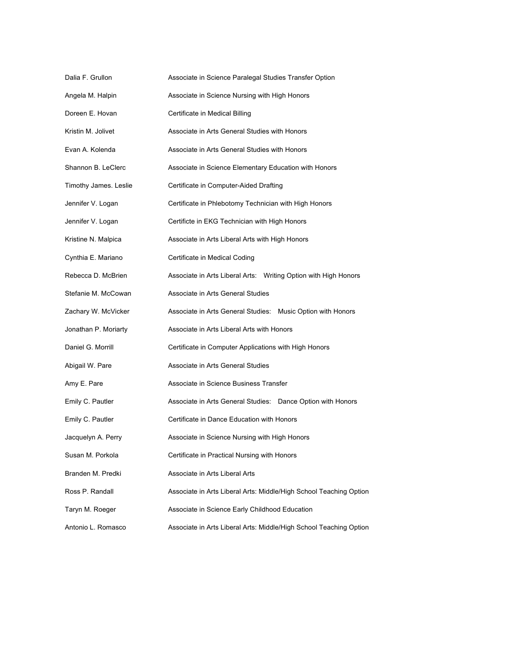| Dalia F. Grullon      | Associate in Science Paralegal Studies Transfer Option             |
|-----------------------|--------------------------------------------------------------------|
| Angela M. Halpin      | Associate in Science Nursing with High Honors                      |
| Doreen E. Hovan       | Certificate in Medical Billing                                     |
| Kristin M. Jolivet    | Associate in Arts General Studies with Honors                      |
| Evan A. Kolenda       | Associate in Arts General Studies with Honors                      |
| Shannon B. LeClerc    | Associate in Science Elementary Education with Honors              |
| Timothy James. Leslie | Certificate in Computer-Aided Drafting                             |
| Jennifer V. Logan     | Certificate in Phlebotomy Technician with High Honors              |
| Jennifer V. Logan     | Certificte in EKG Technician with High Honors                      |
| Kristine N. Malpica   | Associate in Arts Liberal Arts with High Honors                    |
| Cynthia E. Mariano    | Certificate in Medical Coding                                      |
| Rebecca D. McBrien    | Associate in Arts Liberal Arts: Writing Option with High Honors    |
| Stefanie M. McCowan   | Associate in Arts General Studies                                  |
| Zachary W. McVicker   | Associate in Arts General Studies: Music Option with Honors        |
| Jonathan P. Moriarty  | Associate in Arts Liberal Arts with Honors                         |
| Daniel G. Morrill     | Certificate in Computer Applications with High Honors              |
| Abigail W. Pare       | Associate in Arts General Studies                                  |
| Amy E. Pare           | Associate in Science Business Transfer                             |
| Emily C. Pautler      | Associate in Arts General Studies: Dance Option with Honors        |
| Emily C. Pautler      | Certificate in Dance Education with Honors                         |
| Jacquelyn A. Perry    | Associate in Science Nursing with High Honors                      |
| Susan M. Porkola      | Certificate in Practical Nursing with Honors                       |
| Branden M. Predki     | Associate in Arts Liberal Arts                                     |
| Ross P. Randall       | Associate in Arts Liberal Arts: Middle/High School Teaching Option |
| Taryn M. Roeger       | Associate in Science Early Childhood Education                     |
| Antonio L. Romasco    | Associate in Arts Liberal Arts: Middle/High School Teaching Option |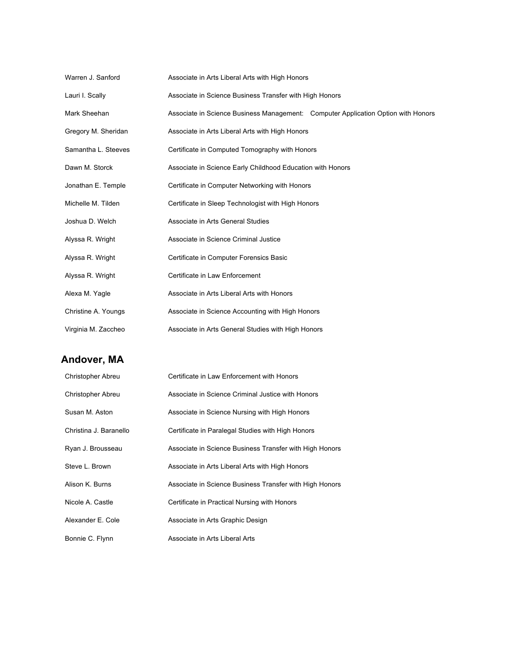| Warren J. Sanford   | Associate in Arts Liberal Arts with High Honors                                   |
|---------------------|-----------------------------------------------------------------------------------|
| Lauri I. Scally     | Associate in Science Business Transfer with High Honors                           |
| Mark Sheehan        | Associate in Science Business Management: Computer Application Option with Honors |
| Gregory M. Sheridan | Associate in Arts Liberal Arts with High Honors                                   |
| Samantha L. Steeves | Certificate in Computed Tomography with Honors                                    |
| Dawn M. Storck      | Associate in Science Early Childhood Education with Honors                        |
| Jonathan E. Temple  | Certificate in Computer Networking with Honors                                    |
| Michelle M. Tilden  | Certificate in Sleep Technologist with High Honors                                |
| Joshua D. Welch     | Associate in Arts General Studies                                                 |
| Alyssa R. Wright    | Associate in Science Criminal Justice                                             |
| Alyssa R. Wright    | Certificate in Computer Forensics Basic                                           |
| Alyssa R. Wright    | Certificate in Law Enforcement                                                    |
| Alexa M. Yagle      | Associate in Arts Liberal Arts with Honors                                        |
| Christine A. Youngs | Associate in Science Accounting with High Honors                                  |
| Virginia M. Zaccheo | Associate in Arts General Studies with High Honors                                |

# **Andover, MA**

| Christopher Abreu      | Certificate in Law Enforcement with Honors              |
|------------------------|---------------------------------------------------------|
| Christopher Abreu      | Associate in Science Criminal Justice with Honors       |
| Susan M. Aston         | Associate in Science Nursing with High Honors           |
| Christina J. Baranello | Certificate in Paralegal Studies with High Honors       |
| Ryan J. Brousseau      | Associate in Science Business Transfer with High Honors |
| Steve L. Brown         | Associate in Arts Liberal Arts with High Honors         |
| Alison K. Burns        | Associate in Science Business Transfer with High Honors |
| Nicole A. Castle       | Certificate in Practical Nursing with Honors            |
| Alexander E. Cole      | Associate in Arts Graphic Design                        |
| Bonnie C. Flynn        | Associate in Arts Liberal Arts                          |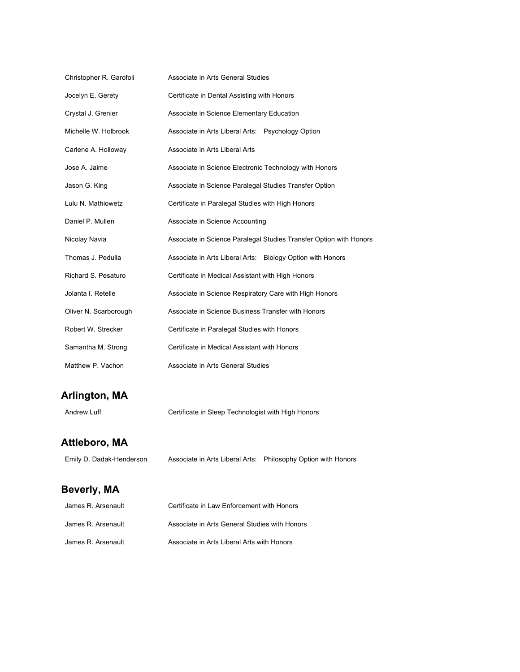| Christopher R. Garofoli | Associate in Arts General Studies                                  |
|-------------------------|--------------------------------------------------------------------|
| Jocelyn E. Gerety       | Certificate in Dental Assisting with Honors                        |
| Crystal J. Grenier      | Associate in Science Elementary Education                          |
| Michelle W. Holbrook    | Associate in Arts Liberal Arts: Psychology Option                  |
| Carlene A. Holloway     | Associate in Arts Liberal Arts                                     |
| Jose A. Jaime           | Associate in Science Electronic Technology with Honors             |
| Jason G. King           | Associate in Science Paralegal Studies Transfer Option             |
| Lulu N. Mathiowetz      | Certificate in Paralegal Studies with High Honors                  |
| Daniel P. Mullen        | Associate in Science Accounting                                    |
| Nicolay Navia           | Associate in Science Paralegal Studies Transfer Option with Honors |
| Thomas J. Pedulla       | Associate in Arts Liberal Arts: Biology Option with Honors         |
| Richard S. Pesaturo     | Certificate in Medical Assistant with High Honors                  |
| Jolanta I. Retelle      | Associate in Science Respiratory Care with High Honors             |
| Oliver N. Scarborough   | Associate in Science Business Transfer with Honors                 |
| Robert W. Strecker      | Certificate in Paralegal Studies with Honors                       |
| Samantha M. Strong      | Certificate in Medical Assistant with Honors                       |
| Matthew P. Vachon       | Associate in Arts General Studies                                  |

### **Arlington, MA**

Andrew Luff Certificate in Sleep Technologist with High Honors

#### **Attleboro, MA**

Emily D. Dadak-Henderson Associate in Arts Liberal Arts: Philosophy Option with Honors

# **Beverly, MA**

| James R. Arsenault | Certificate in Law Enforcement with Honors    |
|--------------------|-----------------------------------------------|
| James R. Arsenault | Associate in Arts General Studies with Honors |
| James R. Arsenault | Associate in Arts Liberal Arts with Honors    |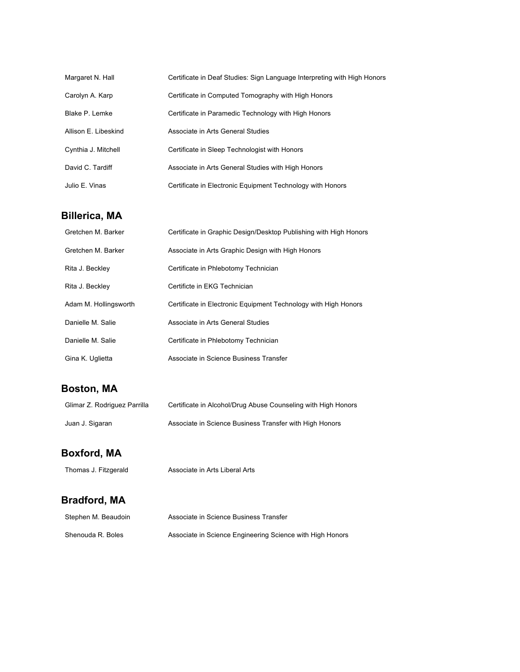| Margaret N. Hall     | Certificate in Deaf Studies: Sign Language Interpreting with High Honors |
|----------------------|--------------------------------------------------------------------------|
| Carolyn A. Karp      | Certificate in Computed Tomography with High Honors                      |
| Blake P. Lemke       | Certificate in Paramedic Technology with High Honors                     |
| Allison E. Libeskind | Associate in Arts General Studies                                        |
| Cynthia J. Mitchell  | Certificate in Sleep Technologist with Honors                            |
| David C. Tardiff     | Associate in Arts General Studies with High Honors                       |
| Julio E. Vinas       | Certificate in Electronic Equipment Technology with Honors               |

### **Billerica, MA**

| Gretchen M. Barker    | Certificate in Graphic Design/Desktop Publishing with High Honors |
|-----------------------|-------------------------------------------------------------------|
| Gretchen M. Barker    | Associate in Arts Graphic Design with High Honors                 |
| Rita J. Beckley       | Certificate in Phlebotomy Technician                              |
| Rita J. Beckley       | Certificte in EKG Technician                                      |
| Adam M. Hollingsworth | Certificate in Electronic Equipment Technology with High Honors   |
| Danielle M. Salie     | Associate in Arts General Studies                                 |
| Danielle M. Salie     | Certificate in Phlebotomy Technician                              |
| Gina K. Uglietta      | Associate in Science Business Transfer                            |

# **Boston, MA**

| Glimar Z. Rodriguez Parrilla | Certificate in Alcohol/Drug Abuse Counseling with High Honors |
|------------------------------|---------------------------------------------------------------|
| Juan J. Sigaran              | Associate in Science Business Transfer with High Honors       |

#### **Boxford, MA**

Thomas J. Fitzgerald Associate in Arts Liberal Arts

# **Bradford, MA**

| Stephen M. Beaudoin | Associate in Science Business Transfer                    |
|---------------------|-----------------------------------------------------------|
| Shenouda R. Boles   | Associate in Science Engineering Science with High Honors |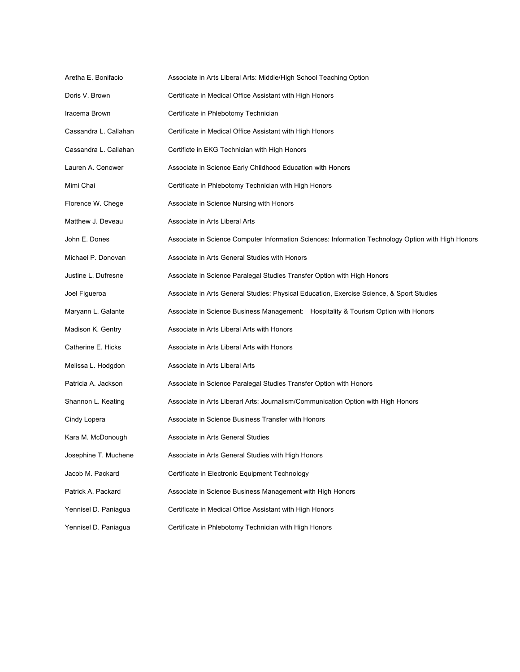| Aretha E. Bonifacio   | Associate in Arts Liberal Arts: Middle/High School Teaching Option                                 |
|-----------------------|----------------------------------------------------------------------------------------------------|
| Doris V. Brown        | Certificate in Medical Office Assistant with High Honors                                           |
| Iracema Brown         | Certificate in Phlebotomy Technician                                                               |
| Cassandra L. Callahan | Certificate in Medical Office Assistant with High Honors                                           |
| Cassandra L. Callahan | Certificte in EKG Technician with High Honors                                                      |
| Lauren A. Cenower     | Associate in Science Early Childhood Education with Honors                                         |
| Mimi Chai             | Certificate in Phlebotomy Technician with High Honors                                              |
| Florence W. Chege     | Associate in Science Nursing with Honors                                                           |
| Matthew J. Deveau     | Associate in Arts Liberal Arts                                                                     |
| John E. Dones         | Associate in Science Computer Information Sciences: Information Technology Option with High Honors |
| Michael P. Donovan    | Associate in Arts General Studies with Honors                                                      |
| Justine L. Dufresne   | Associate in Science Paralegal Studies Transfer Option with High Honors                            |
| Joel Figueroa         | Associate in Arts General Studies: Physical Education, Exercise Science, & Sport Studies           |
| Maryann L. Galante    | Associate in Science Business Management: Hospitality & Tourism Option with Honors                 |
| Madison K. Gentry     | Associate in Arts Liberal Arts with Honors                                                         |
| Catherine E. Hicks    | Associate in Arts Liberal Arts with Honors                                                         |
| Melissa L. Hodgdon    | Associate in Arts Liberal Arts                                                                     |
| Patricia A. Jackson   | Associate in Science Paralegal Studies Transfer Option with Honors                                 |
| Shannon L. Keating    | Associate in Arts Liberarl Arts: Journalism/Communication Option with High Honors                  |
| Cindy Lopera          | Associate in Science Business Transfer with Honors                                                 |
| Kara M. McDonough     | Associate in Arts General Studies                                                                  |
| Josephine T. Muchene  | Associate in Arts General Studies with High Honors                                                 |
| Jacob M. Packard      | Certificate in Electronic Equipment Technology                                                     |
| Patrick A. Packard    | Associate in Science Business Management with High Honors                                          |
| Yennisel D. Paniagua  | Certificate in Medical Office Assistant with High Honors                                           |
| Yennisel D. Paniagua  | Certificate in Phlebotomy Technician with High Honors                                              |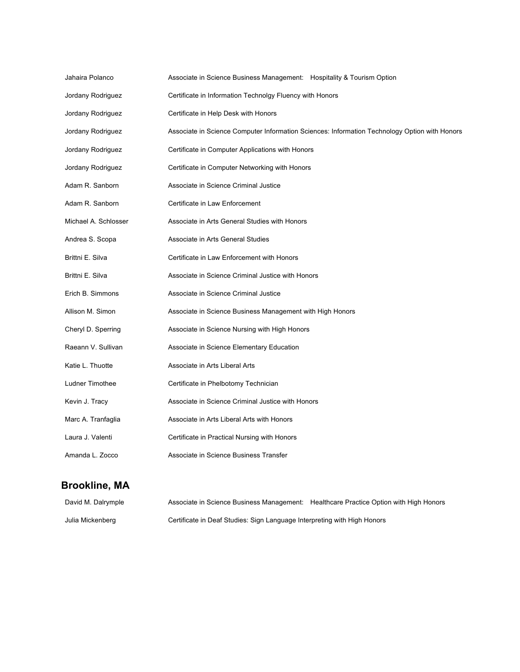| Jahaira Polanco      | Associate in Science Business Management: Hospitality & Tourism Option                        |
|----------------------|-----------------------------------------------------------------------------------------------|
| Jordany Rodriguez    | Certificate in Information Technolgy Fluency with Honors                                      |
| Jordany Rodriguez    | Certificate in Help Desk with Honors                                                          |
| Jordany Rodriguez    | Associate in Science Computer Information Sciences: Information Technology Option with Honors |
| Jordany Rodriguez    | Certificate in Computer Applications with Honors                                              |
| Jordany Rodriguez    | Certificate in Computer Networking with Honors                                                |
| Adam R. Sanborn      | Associate in Science Criminal Justice                                                         |
| Adam R. Sanborn      | Certificate in Law Enforcement                                                                |
| Michael A. Schlosser | Associate in Arts General Studies with Honors                                                 |
| Andrea S. Scopa      | Associate in Arts General Studies                                                             |
| Brittni E. Silva     | Certificate in Law Enforcement with Honors                                                    |
| Brittni E. Silva     | Associate in Science Criminal Justice with Honors                                             |
| Erich B. Simmons     | Associate in Science Criminal Justice                                                         |
| Allison M. Simon     | Associate in Science Business Management with High Honors                                     |
| Cheryl D. Sperring   | Associate in Science Nursing with High Honors                                                 |
| Raeann V. Sullivan   | Associate in Science Elementary Education                                                     |
| Katie L. Thuotte     | Associate in Arts Liberal Arts                                                                |
| Ludner Timothee      | Certificate in Phelbotomy Technician                                                          |
| Kevin J. Tracy       | Associate in Science Criminal Justice with Honors                                             |
| Marc A. Tranfaglia   | Associate in Arts Liberal Arts with Honors                                                    |
| Laura J. Valenti     | Certificate in Practical Nursing with Honors                                                  |
| Amanda L. Zocco      | Associate in Science Business Transfer                                                        |

# **Brookline, MA**

| David M. Dalrymple | Associate in Science Business Management: Healthcare Practice Option with High Honors |  |
|--------------------|---------------------------------------------------------------------------------------|--|
| Julia Mickenberg   | Certificate in Deaf Studies: Sign Language Interpreting with High Honors              |  |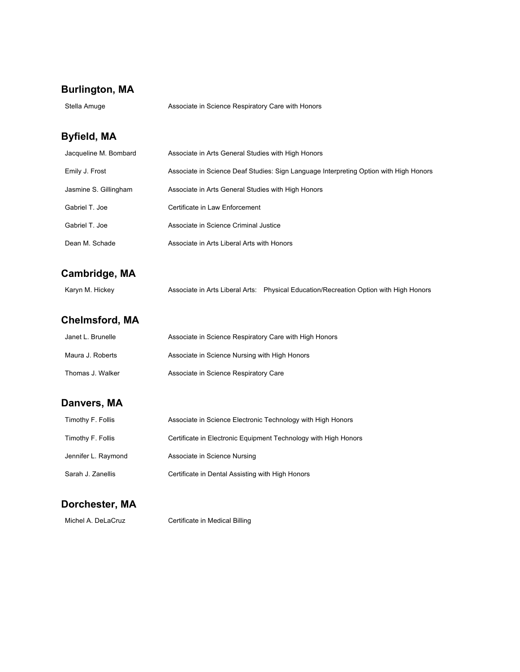### **Burlington, MA**

| Stella Amuge | Associate in Science Respiratory Care with Honors |
|--------------|---------------------------------------------------|
|--------------|---------------------------------------------------|

#### **Byfield, MA**

| Jacqueline M. Bombard | Associate in Arts General Studies with High Honors                                    |
|-----------------------|---------------------------------------------------------------------------------------|
| Emily J. Frost        | Associate in Science Deaf Studies: Sign Language Interpreting Option with High Honors |
| Jasmine S. Gillingham | Associate in Arts General Studies with High Honors                                    |
| Gabriel T. Joe        | Certificate in Law Enforcement                                                        |
| Gabriel T. Joe        | Associate in Science Criminal Justice                                                 |
| Dean M. Schade        | Associate in Arts Liberal Arts with Honors                                            |

### **Cambridge, MA**

Karyn M. Hickey **Associate in Arts Liberal Arts:** Physical Education/Recreation Option with High Honors

# **Chelmsford, MA**

| Janet L. Brunelle | Associate in Science Respiratory Care with High Honors |
|-------------------|--------------------------------------------------------|
| Maura J. Roberts  | Associate in Science Nursing with High Honors          |
| Thomas J. Walker  | Associate in Science Respiratory Care                  |

#### **Danvers, MA**

| Timothy F. Follis   | Associate in Science Electronic Technology with High Honors     |
|---------------------|-----------------------------------------------------------------|
| Timothy F. Follis   | Certificate in Electronic Equipment Technology with High Honors |
| Jennifer L. Raymond | Associate in Science Nursing                                    |
| Sarah J. Zanellis   | Certificate in Dental Assisting with High Honors                |

#### **Dorchester, MA**

Michel A. DeLaCruz Certificate in Medical Billing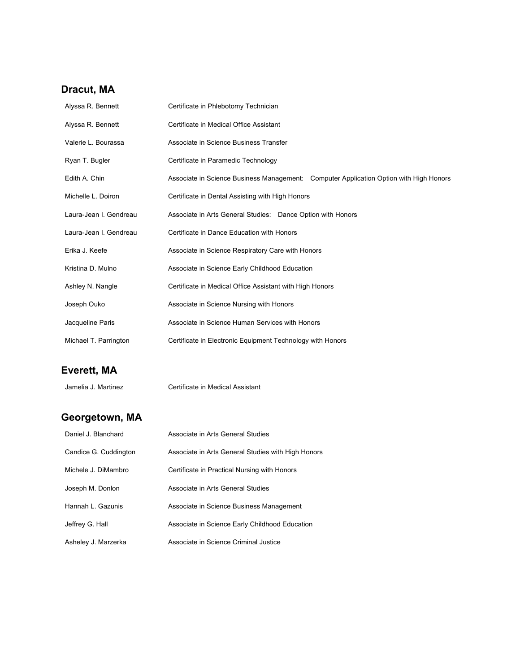### **Dracut, MA**

| Alyssa R. Bennett      | Certificate in Phlebotomy Technician                                                   |  |
|------------------------|----------------------------------------------------------------------------------------|--|
| Alyssa R. Bennett      | Certificate in Medical Office Assistant                                                |  |
| Valerie L. Bourassa    | Associate in Science Business Transfer                                                 |  |
| Ryan T. Bugler         | Certificate in Paramedic Technology                                                    |  |
| Edith A. Chin          | Associate in Science Business Management: Computer Application Option with High Honors |  |
| Michelle L. Doiron     | Certificate in Dental Assisting with High Honors                                       |  |
| Laura-Jean I. Gendreau | Associate in Arts General Studies: Dance Option with Honors                            |  |
| Laura-Jean I. Gendreau | Certificate in Dance Education with Honors                                             |  |
| Erika J. Keefe         | Associate in Science Respiratory Care with Honors                                      |  |
| Kristina D. Mulno      | Associate in Science Early Childhood Education                                         |  |
| Ashley N. Nangle       | Certificate in Medical Office Assistant with High Honors                               |  |
| Joseph Ouko            | Associate in Science Nursing with Honors                                               |  |
| Jacqueline Paris       | Associate in Science Human Services with Honors                                        |  |
| Michael T. Parrington  | Certificate in Electronic Equipment Technology with Honors                             |  |

# **Everett, MA**

Jamelia J. Martinez Certificate in Medical Assistant

# **Georgetown, MA**

| Daniel J. Blanchard   | Associate in Arts General Studies                  |
|-----------------------|----------------------------------------------------|
| Candice G. Cuddington | Associate in Arts General Studies with High Honors |
| Michele J. DiMambro   | Certificate in Practical Nursing with Honors       |
| Joseph M. Donlon      | Associate in Arts General Studies                  |
| Hannah L. Gazunis     | Associate in Science Business Management           |
| Jeffrey G. Hall       | Associate in Science Early Childhood Education     |
| Asheley J. Marzerka   | Associate in Science Criminal Justice              |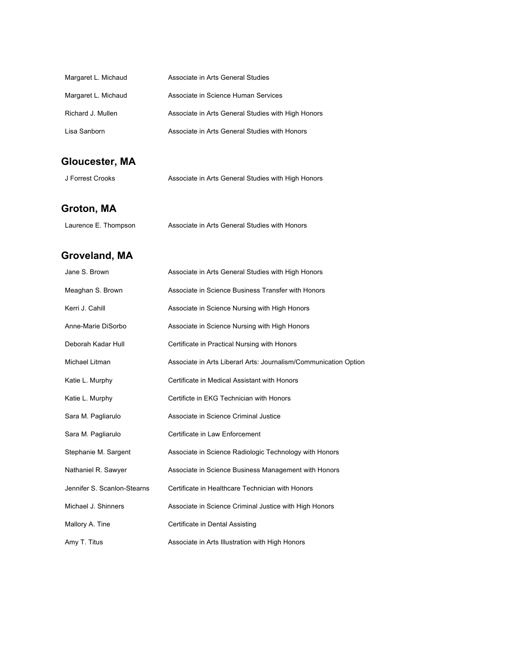| Margaret L. Michaud | Associate in Arts General Studies                  |
|---------------------|----------------------------------------------------|
| Margaret L. Michaud | Associate in Science Human Services                |
| Richard J. Mullen   | Associate in Arts General Studies with High Honors |
| Lisa Sanborn        | Associate in Arts General Studies with Honors      |

# **Gloucester, MA**

| J Forrest Crooks | Associate in Arts General Studies with High Honors |  |
|------------------|----------------------------------------------------|--|
|------------------|----------------------------------------------------|--|

# **Groton, MA**

| Laurence E. Thompson | Associate in Arts General Studies with Honors |
|----------------------|-----------------------------------------------|
|----------------------|-----------------------------------------------|

# **Groveland, MA**

| Jane S. Brown               | Associate in Arts General Studies with High Honors               |
|-----------------------------|------------------------------------------------------------------|
| Meaghan S. Brown            | Associate in Science Business Transfer with Honors               |
| Kerri J. Cahill             | Associate in Science Nursing with High Honors                    |
| Anne-Marie DiSorbo          | Associate in Science Nursing with High Honors                    |
| Deborah Kadar Hull          | Certificate in Practical Nursing with Honors                     |
| Michael Litman              | Associate in Arts Liberarl Arts: Journalism/Communication Option |
| Katie L. Murphy             | Certificate in Medical Assistant with Honors                     |
| Katie L. Murphy             | Certificte in EKG Technician with Honors                         |
| Sara M. Pagliarulo          | Associate in Science Criminal Justice                            |
| Sara M. Pagliarulo          | Certificate in Law Enforcement                                   |
| Stephanie M. Sargent        | Associate in Science Radiologic Technology with Honors           |
| Nathaniel R. Sawyer         | Associate in Science Business Management with Honors             |
| Jennifer S. Scanlon-Stearns | Certificate in Healthcare Technician with Honors                 |
| Michael J. Shinners         | Associate in Science Criminal Justice with High Honors           |
| Mallory A. Tine             | Certificate in Dental Assisting                                  |
| Amy T. Titus                | Associate in Arts Illustration with High Honors                  |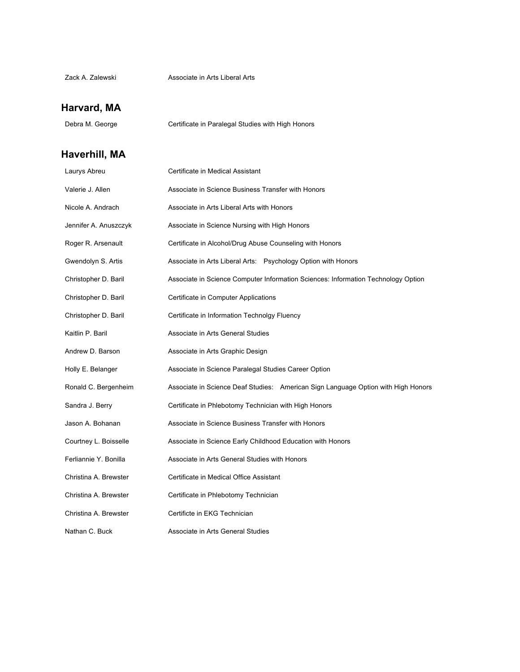#### **Harvard, MA**

Debra M. George **Certificate in Paralegal Studies with High Honors** 

### **Haverhill, MA**

| Laurys Abreu          | Certificate in Medical Assistant                                                  |
|-----------------------|-----------------------------------------------------------------------------------|
| Valerie J. Allen      | Associate in Science Business Transfer with Honors                                |
| Nicole A. Andrach     | Associate in Arts Liberal Arts with Honors                                        |
| Jennifer A. Anuszczyk | Associate in Science Nursing with High Honors                                     |
| Roger R. Arsenault    | Certificate in Alcohol/Drug Abuse Counseling with Honors                          |
| Gwendolyn S. Artis    | Associate in Arts Liberal Arts: Psychology Option with Honors                     |
| Christopher D. Baril  | Associate in Science Computer Information Sciences: Information Technology Option |
| Christopher D. Baril  | Certificate in Computer Applications                                              |
| Christopher D. Baril  | Certificate in Information Technolgy Fluency                                      |
| Kaitlin P. Baril      | Associate in Arts General Studies                                                 |
| Andrew D. Barson      | Associate in Arts Graphic Design                                                  |
| Holly E. Belanger     | Associate in Science Paralegal Studies Career Option                              |
| Ronald C. Bergenheim  | Associate in Science Deaf Studies: American Sign Language Option with High Honors |
| Sandra J. Berry       | Certificate in Phlebotomy Technician with High Honors                             |
| Jason A. Bohanan      | Associate in Science Business Transfer with Honors                                |
| Courtney L. Boisselle | Associate in Science Early Childhood Education with Honors                        |
| Ferliannie Y. Bonilla | Associate in Arts General Studies with Honors                                     |
| Christina A. Brewster | Certificate in Medical Office Assistant                                           |
| Christina A. Brewster | Certificate in Phlebotomy Technician                                              |
| Christina A. Brewster | Certificte in EKG Technician                                                      |
| Nathan C. Buck        | Associate in Arts General Studies                                                 |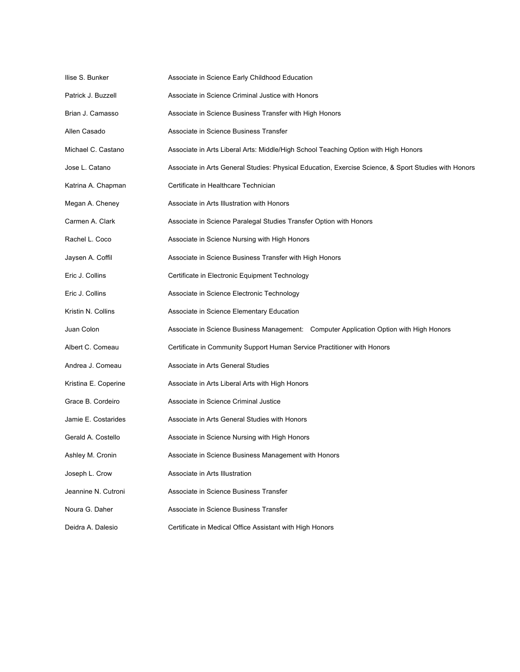| llise S. Bunker      | Associate in Science Early Childhood Education                                                       |
|----------------------|------------------------------------------------------------------------------------------------------|
| Patrick J. Buzzell   | Associate in Science Criminal Justice with Honors                                                    |
| Brian J. Camasso     | Associate in Science Business Transfer with High Honors                                              |
| Allen Casado         | Associate in Science Business Transfer                                                               |
| Michael C. Castano   | Associate in Arts Liberal Arts: Middle/High School Teaching Option with High Honors                  |
| Jose L. Catano       | Associate in Arts General Studies: Physical Education, Exercise Science, & Sport Studies with Honors |
| Katrina A. Chapman   | Certificate in Healthcare Technician                                                                 |
| Megan A. Cheney      | Associate in Arts Illustration with Honors                                                           |
| Carmen A. Clark      | Associate in Science Paralegal Studies Transfer Option with Honors                                   |
| Rachel L. Coco       | Associate in Science Nursing with High Honors                                                        |
| Jaysen A. Coffil     | Associate in Science Business Transfer with High Honors                                              |
| Eric J. Collins      | Certificate in Electronic Equipment Technology                                                       |
| Eric J. Collins      | Associate in Science Electronic Technology                                                           |
| Kristin N. Collins   | Associate in Science Elementary Education                                                            |
| Juan Colon           | Associate in Science Business Management: Computer Application Option with High Honors               |
| Albert C. Comeau     | Certificate in Community Support Human Service Practitioner with Honors                              |
| Andrea J. Comeau     | Associate in Arts General Studies                                                                    |
| Kristina E. Coperine | Associate in Arts Liberal Arts with High Honors                                                      |
| Grace B. Cordeiro    | Associate in Science Criminal Justice                                                                |
| Jamie E. Costarides  | Associate in Arts General Studies with Honors                                                        |
| Gerald A. Costello   | Associate in Science Nursing with High Honors                                                        |
| Ashley M. Cronin     | Associate in Science Business Management with Honors                                                 |
| Joseph L. Crow       | Associate in Arts Illustration                                                                       |
| Jeannine N. Cutroni  | Associate in Science Business Transfer                                                               |
| Noura G. Daher       | Associate in Science Business Transfer                                                               |
| Deidra A. Dalesio    | Certificate in Medical Office Assistant with High Honors                                             |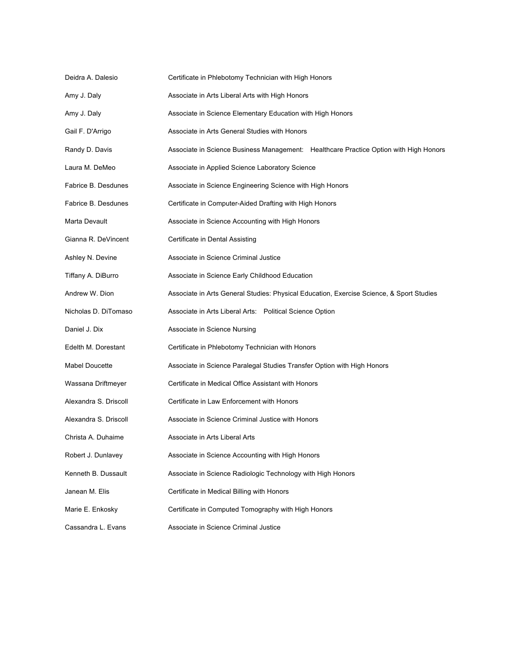| Deidra A. Dalesio     | Certificate in Phlebotomy Technician with High Honors                                    |
|-----------------------|------------------------------------------------------------------------------------------|
| Amy J. Daly           | Associate in Arts Liberal Arts with High Honors                                          |
| Amy J. Daly           | Associate in Science Elementary Education with High Honors                               |
| Gail F. D'Arrigo      | Associate in Arts General Studies with Honors                                            |
| Randy D. Davis        | Associate in Science Business Management: Healthcare Practice Option with High Honors    |
| Laura M. DeMeo        | Associate in Applied Science Laboratory Science                                          |
| Fabrice B. Desdunes   | Associate in Science Engineering Science with High Honors                                |
| Fabrice B. Desdunes   | Certificate in Computer-Aided Drafting with High Honors                                  |
| Marta Devault         | Associate in Science Accounting with High Honors                                         |
| Gianna R. DeVincent   | Certificate in Dental Assisting                                                          |
| Ashley N. Devine      | Associate in Science Criminal Justice                                                    |
| Tiffany A. DiBurro    | Associate in Science Early Childhood Education                                           |
| Andrew W. Dion        | Associate in Arts General Studies: Physical Education, Exercise Science, & Sport Studies |
| Nicholas D. DiTomaso  | Associate in Arts Liberal Arts: Political Science Option                                 |
| Daniel J. Dix         | Associate in Science Nursing                                                             |
| Edelth M. Dorestant   | Certificate in Phlebotomy Technician with Honors                                         |
| <b>Mabel Doucette</b> | Associate in Science Paralegal Studies Transfer Option with High Honors                  |
| Wassana Driftmeyer    | Certificate in Medical Office Assistant with Honors                                      |
| Alexandra S. Driscoll | Certificate in Law Enforcement with Honors                                               |
| Alexandra S. Driscoll | Associate in Science Criminal Justice with Honors                                        |
| Christa A. Duhaime    | Associate in Arts Liberal Arts                                                           |
| Robert J. Dunlavey    | Associate in Science Accounting with High Honors                                         |
| Kenneth B. Dussault   | Associate in Science Radiologic Technology with High Honors                              |
| Janean M. Elis        | Certificate in Medical Billing with Honors                                               |
| Marie E. Enkosky      | Certificate in Computed Tomography with High Honors                                      |
| Cassandra L. Evans    | Associate in Science Criminal Justice                                                    |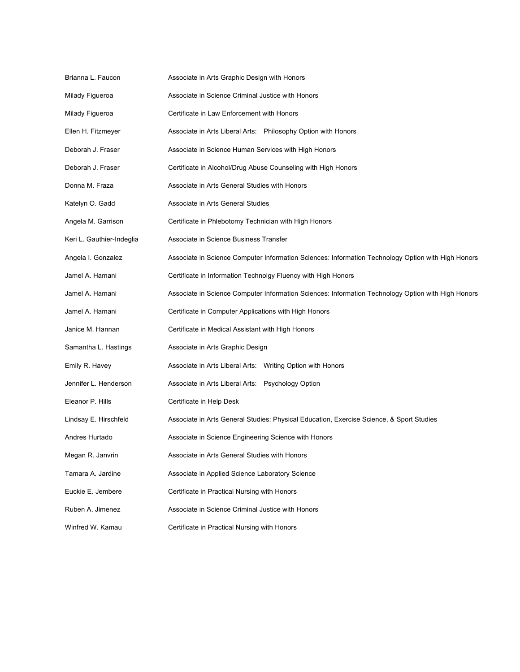| Brianna L. Faucon         | Associate in Arts Graphic Design with Honors                                                       |
|---------------------------|----------------------------------------------------------------------------------------------------|
| Milady Figueroa           | Associate in Science Criminal Justice with Honors                                                  |
| Milady Figueroa           | Certificate in Law Enforcement with Honors                                                         |
| Ellen H. Fitzmeyer        | Associate in Arts Liberal Arts: Philosophy Option with Honors                                      |
| Deborah J. Fraser         | Associate in Science Human Services with High Honors                                               |
| Deborah J. Fraser         | Certificate in Alcohol/Drug Abuse Counseling with High Honors                                      |
| Donna M. Fraza            | Associate in Arts General Studies with Honors                                                      |
| Katelyn O. Gadd           | Associate in Arts General Studies                                                                  |
| Angela M. Garrison        | Certificate in Phlebotomy Technician with High Honors                                              |
| Keri L. Gauthier-Indeglia | Associate in Science Business Transfer                                                             |
| Angela I. Gonzalez        | Associate in Science Computer Information Sciences: Information Technology Option with High Honors |
| Jamel A. Hamani           | Certificate in Information Technolgy Fluency with High Honors                                      |
| Jamel A. Hamani           | Associate in Science Computer Information Sciences: Information Technology Option with High Honors |
| Jamel A. Hamani           | Certificate in Computer Applications with High Honors                                              |
| Janice M. Hannan          | Certificate in Medical Assistant with High Honors                                                  |
| Samantha L. Hastings      | Associate in Arts Graphic Design                                                                   |
| Emily R. Havey            | Associate in Arts Liberal Arts: Writing Option with Honors                                         |
| Jennifer L. Henderson     | Associate in Arts Liberal Arts: Psychology Option                                                  |
| Eleanor P. Hills          | Certificate in Help Desk                                                                           |
| Lindsay E. Hirschfeld     | Associate in Arts General Studies: Physical Education, Exercise Science, & Sport Studies           |
| Andres Hurtado            | Associate in Science Engineering Science with Honors                                               |
| Megan R. Janvrin          | Associate in Arts General Studies with Honors                                                      |
| Tamara A. Jardine         | Associate in Applied Science Laboratory Science                                                    |
| Euckie E. Jembere         | Certificate in Practical Nursing with Honors                                                       |
| Ruben A. Jimenez          | Associate in Science Criminal Justice with Honors                                                  |
| Winfred W. Kamau          | Certificate in Practical Nursing with Honors                                                       |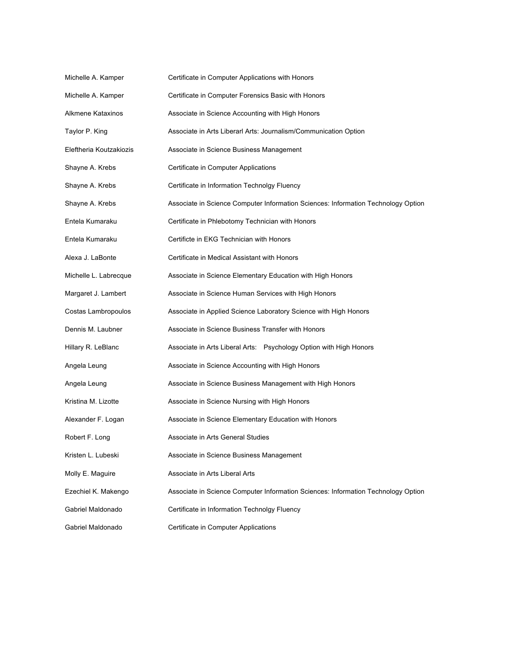| Michelle A. Kamper      | Certificate in Computer Applications with Honors                                  |
|-------------------------|-----------------------------------------------------------------------------------|
| Michelle A. Kamper      | Certificate in Computer Forensics Basic with Honors                               |
| Alkmene Kataxinos       | Associate in Science Accounting with High Honors                                  |
| Taylor P. King          | Associate in Arts Liberarl Arts: Journalism/Communication Option                  |
| Eleftheria Koutzakiozis | Associate in Science Business Management                                          |
| Shayne A. Krebs         | Certificate in Computer Applications                                              |
| Shayne A. Krebs         | Certificate in Information Technolgy Fluency                                      |
| Shayne A. Krebs         | Associate in Science Computer Information Sciences: Information Technology Option |
| Entela Kumaraku         | Certificate in Phlebotomy Technician with Honors                                  |
| Entela Kumaraku         | Certificte in EKG Technician with Honors                                          |
| Alexa J. LaBonte        | Certificate in Medical Assistant with Honors                                      |
| Michelle L. Labrecque   | Associate in Science Elementary Education with High Honors                        |
| Margaret J. Lambert     | Associate in Science Human Services with High Honors                              |
| Costas Lambropoulos     | Associate in Applied Science Laboratory Science with High Honors                  |
| Dennis M. Laubner       | Associate in Science Business Transfer with Honors                                |
| Hillary R. LeBlanc      | Associate in Arts Liberal Arts: Psychology Option with High Honors                |
| Angela Leung            | Associate in Science Accounting with High Honors                                  |
| Angela Leung            | Associate in Science Business Management with High Honors                         |
| Kristina M. Lizotte     | Associate in Science Nursing with High Honors                                     |
| Alexander F. Logan      | Associate in Science Elementary Education with Honors                             |
| Robert F. Long          | Associate in Arts General Studies                                                 |
| Kristen L. Lubeski      | Associate in Science Business Management                                          |
| Molly E. Maguire        | Associate in Arts Liberal Arts                                                    |
| Ezechiel K. Makengo     | Associate in Science Computer Information Sciences: Information Technology Option |
| Gabriel Maldonado       | Certificate in Information Technolgy Fluency                                      |
| Gabriel Maldonado       | Certificate in Computer Applications                                              |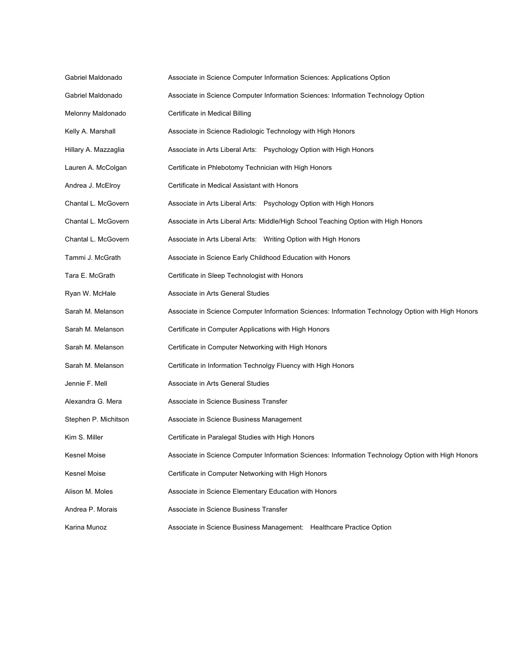| Gabriel Maldonado    | Associate in Science Computer Information Sciences: Applications Option                            |
|----------------------|----------------------------------------------------------------------------------------------------|
| Gabriel Maldonado    | Associate in Science Computer Information Sciences: Information Technology Option                  |
| Melonny Maldonado    | Certificate in Medical Billing                                                                     |
| Kelly A. Marshall    | Associate in Science Radiologic Technology with High Honors                                        |
| Hillary A. Mazzaglia | Associate in Arts Liberal Arts: Psychology Option with High Honors                                 |
| Lauren A. McColgan   | Certificate in Phlebotomy Technician with High Honors                                              |
| Andrea J. McElroy    | Certificate in Medical Assistant with Honors                                                       |
| Chantal L. McGovern  | Associate in Arts Liberal Arts: Psychology Option with High Honors                                 |
| Chantal L. McGovern  | Associate in Arts Liberal Arts: Middle/High School Teaching Option with High Honors                |
| Chantal L. McGovern  | Associate in Arts Liberal Arts: Writing Option with High Honors                                    |
| Tammi J. McGrath     | Associate in Science Early Childhood Education with Honors                                         |
| Tara E. McGrath      | Certificate in Sleep Technologist with Honors                                                      |
| Ryan W. McHale       | Associate in Arts General Studies                                                                  |
| Sarah M. Melanson    | Associate in Science Computer Information Sciences: Information Technology Option with High Honors |
| Sarah M. Melanson    | Certificate in Computer Applications with High Honors                                              |
| Sarah M. Melanson    | Certificate in Computer Networking with High Honors                                                |
| Sarah M. Melanson    | Certificate in Information Technolgy Fluency with High Honors                                      |
| Jennie F. Mell       | Associate in Arts General Studies                                                                  |
| Alexandra G. Mera    | Associate in Science Business Transfer                                                             |
| Stephen P. Michitson | Associate in Science Business Management                                                           |
| Kim S. Miller        | Certificate in Paralegal Studies with High Honors                                                  |
| Kesnel Moise         | Associate in Science Computer Information Sciences: Information Technology Option with High Honors |
| Kesnel Moise         | Certificate in Computer Networking with High Honors                                                |
| Alison M. Moles      | Associate in Science Elementary Education with Honors                                              |
| Andrea P. Morais     | Associate in Science Business Transfer                                                             |
| Karina Munoz         | Associate in Science Business Management: Healthcare Practice Option                               |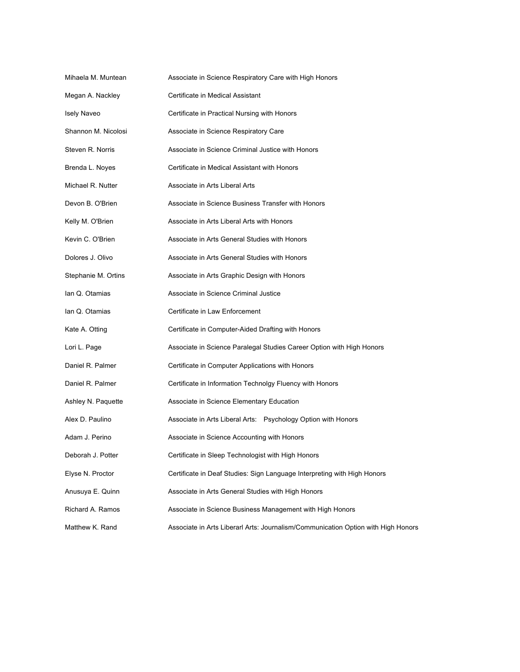| Mihaela M. Muntean  | Associate in Science Respiratory Care with High Honors                            |
|---------------------|-----------------------------------------------------------------------------------|
| Megan A. Nackley    | Certificate in Medical Assistant                                                  |
| <b>Isely Naveo</b>  | Certificate in Practical Nursing with Honors                                      |
| Shannon M. Nicolosi | Associate in Science Respiratory Care                                             |
| Steven R. Norris    | Associate in Science Criminal Justice with Honors                                 |
| Brenda L. Noyes     | Certificate in Medical Assistant with Honors                                      |
| Michael R. Nutter   | Associate in Arts Liberal Arts                                                    |
| Devon B. O'Brien    | Associate in Science Business Transfer with Honors                                |
| Kelly M. O'Brien    | Associate in Arts Liberal Arts with Honors                                        |
| Kevin C. O'Brien    | Associate in Arts General Studies with Honors                                     |
| Dolores J. Olivo    | Associate in Arts General Studies with Honors                                     |
| Stephanie M. Ortins | Associate in Arts Graphic Design with Honors                                      |
| lan Q. Otamias      | Associate in Science Criminal Justice                                             |
| lan Q. Otamias      | Certificate in Law Enforcement                                                    |
| Kate A. Otting      | Certificate in Computer-Aided Drafting with Honors                                |
| Lori L. Page        | Associate in Science Paralegal Studies Career Option with High Honors             |
| Daniel R. Palmer    | Certificate in Computer Applications with Honors                                  |
| Daniel R. Palmer    | Certificate in Information Technolgy Fluency with Honors                          |
| Ashley N. Paquette  | Associate in Science Elementary Education                                         |
| Alex D. Paulino     | Associate in Arts Liberal Arts: Psychology Option with Honors                     |
| Adam J. Perino      | Associate in Science Accounting with Honors                                       |
| Deborah J. Potter   | Certificate in Sleep Technologist with High Honors                                |
| Elyse N. Proctor    | Certificate in Deaf Studies: Sign Language Interpreting with High Honors          |
| Anusuya E. Quinn    | Associate in Arts General Studies with High Honors                                |
| Richard A. Ramos    | Associate in Science Business Management with High Honors                         |
| Matthew K. Rand     | Associate in Arts Liberarl Arts: Journalism/Communication Option with High Honors |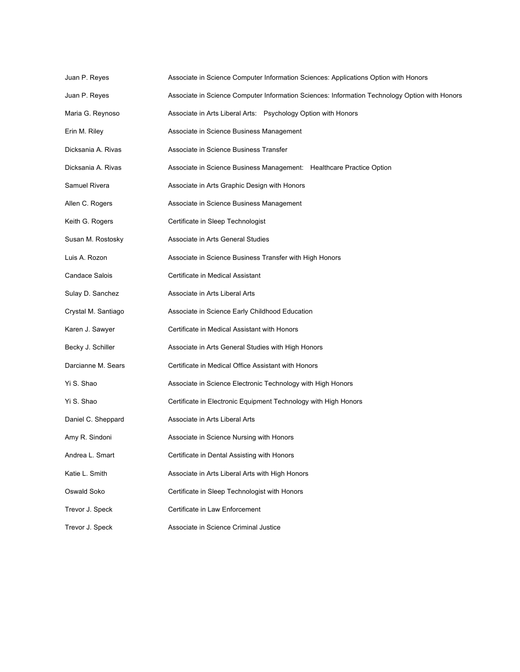| Juan P. Reyes         | Associate in Science Computer Information Sciences: Applications Option with Honors           |
|-----------------------|-----------------------------------------------------------------------------------------------|
| Juan P. Reyes         | Associate in Science Computer Information Sciences: Information Technology Option with Honors |
| Maria G. Reynoso      | Associate in Arts Liberal Arts: Psychology Option with Honors                                 |
| Erin M. Riley         | Associate in Science Business Management                                                      |
| Dicksania A. Rivas    | Associate in Science Business Transfer                                                        |
| Dicksania A. Rivas    | Associate in Science Business Management: Healthcare Practice Option                          |
| Samuel Rivera         | Associate in Arts Graphic Design with Honors                                                  |
| Allen C. Rogers       | Associate in Science Business Management                                                      |
| Keith G. Rogers       | Certificate in Sleep Technologist                                                             |
| Susan M. Rostosky     | Associate in Arts General Studies                                                             |
| Luis A. Rozon         | Associate in Science Business Transfer with High Honors                                       |
| <b>Candace Salois</b> | Certificate in Medical Assistant                                                              |
| Sulay D. Sanchez      | Associate in Arts Liberal Arts                                                                |
| Crystal M. Santiago   | Associate in Science Early Childhood Education                                                |
| Karen J. Sawyer       | Certificate in Medical Assistant with Honors                                                  |
| Becky J. Schiller     | Associate in Arts General Studies with High Honors                                            |
| Darcianne M. Sears    | Certificate in Medical Office Assistant with Honors                                           |
| Yi S. Shao            | Associate in Science Electronic Technology with High Honors                                   |
| Yi S. Shao            | Certificate in Electronic Equipment Technology with High Honors                               |
| Daniel C. Sheppard    | Associate in Arts Liberal Arts                                                                |
| Amy R. Sindoni        | Associate in Science Nursing with Honors                                                      |
| Andrea L. Smart       | Certificate in Dental Assisting with Honors                                                   |
| Katie L. Smith        | Associate in Arts Liberal Arts with High Honors                                               |
| Oswald Soko           | Certificate in Sleep Technologist with Honors                                                 |
| Trevor J. Speck       | Certificate in Law Enforcement                                                                |
| Trevor J. Speck       | Associate in Science Criminal Justice                                                         |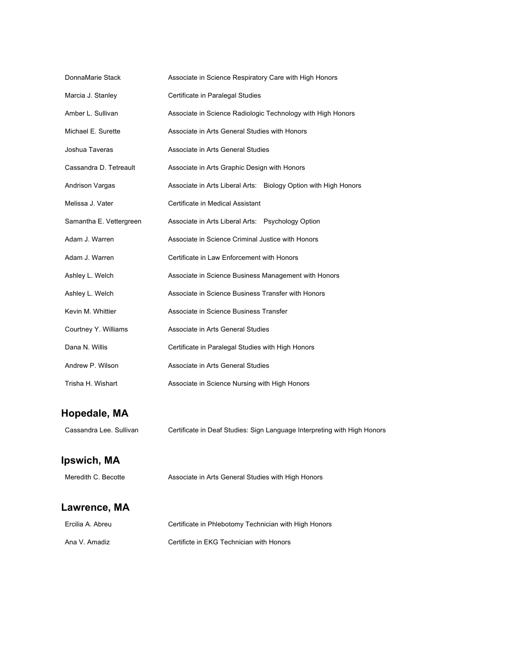| DonnaMarie Stack        | Associate in Science Respiratory Care with High Honors          |
|-------------------------|-----------------------------------------------------------------|
| Marcia J. Stanley       | Certificate in Paralegal Studies                                |
| Amber L. Sullivan       | Associate in Science Radiologic Technology with High Honors     |
| Michael E. Surette      | Associate in Arts General Studies with Honors                   |
| Joshua Taveras          | Associate in Arts General Studies                               |
| Cassandra D. Tetreault  | Associate in Arts Graphic Design with Honors                    |
| Andrison Vargas         | Associate in Arts Liberal Arts: Biology Option with High Honors |
| Melissa J. Vater        | Certificate in Medical Assistant                                |
| Samantha E. Vettergreen | Associate in Arts Liberal Arts: Psychology Option               |
| Adam J. Warren          | Associate in Science Criminal Justice with Honors               |
| Adam J. Warren          | Certificate in Law Enforcement with Honors                      |
| Ashley L. Welch         | Associate in Science Business Management with Honors            |
| Ashley L. Welch         | Associate in Science Business Transfer with Honors              |
| Kevin M. Whittier       | Associate in Science Business Transfer                          |
| Courtney Y. Williams    | Associate in Arts General Studies                               |
| Dana N. Willis          | Certificate in Paralegal Studies with High Honors               |
| Andrew P. Wilson        | Associate in Arts General Studies                               |
| Trisha H. Wishart       | Associate in Science Nursing with High Honors                   |

### **Hopedale, MA**

Cassandra Lee. Sullivan Certificate in Deaf Studies: Sign Language Interpreting with High Honors

#### **Ipswich, MA**

Meredith C. Becotte **Associate in Arts General Studies with High Honors** 

### **Lawrence, MA**

| Ercilia A. Abreu | Certificate in Phlebotomy Technician with High Honors |
|------------------|-------------------------------------------------------|
| Ana V. Amadiz    | Certificte in EKG Technician with Honors              |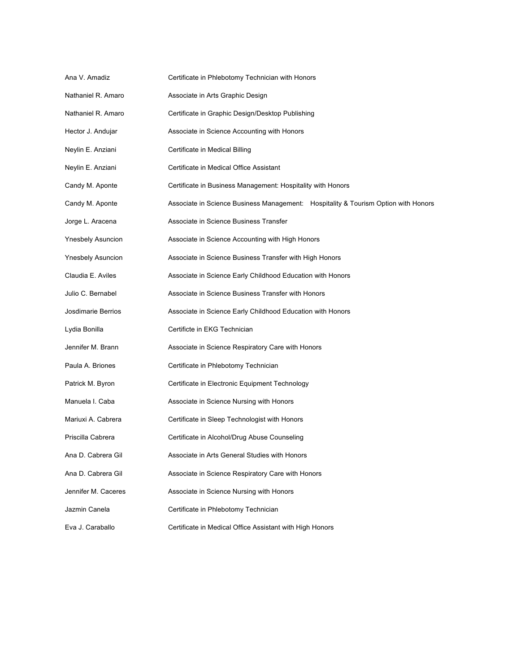| Ana V. Amadiz            | Certificate in Phlebotomy Technician with Honors                                   |
|--------------------------|------------------------------------------------------------------------------------|
| Nathaniel R. Amaro       | Associate in Arts Graphic Design                                                   |
| Nathaniel R. Amaro       | Certificate in Graphic Design/Desktop Publishing                                   |
| Hector J. Andujar        | Associate in Science Accounting with Honors                                        |
| Neylin E. Anziani        | Certificate in Medical Billing                                                     |
| Neylin E. Anziani        | Certificate in Medical Office Assistant                                            |
| Candy M. Aponte          | Certificate in Business Management: Hospitality with Honors                        |
| Candy M. Aponte          | Associate in Science Business Management: Hospitality & Tourism Option with Honors |
| Jorge L. Aracena         | Associate in Science Business Transfer                                             |
| <b>Ynesbely Asuncion</b> | Associate in Science Accounting with High Honors                                   |
| <b>Ynesbely Asuncion</b> | Associate in Science Business Transfer with High Honors                            |
| Claudia E. Aviles        | Associate in Science Early Childhood Education with Honors                         |
| Julio C. Bernabel        | Associate in Science Business Transfer with Honors                                 |
| Josdimarie Berrios       | Associate in Science Early Childhood Education with Honors                         |
| Lydia Bonilla            | Certificte in EKG Technician                                                       |
| Jennifer M. Brann        | Associate in Science Respiratory Care with Honors                                  |
| Paula A. Briones         | Certificate in Phlebotomy Technician                                               |
| Patrick M. Byron         | Certificate in Electronic Equipment Technology                                     |
| Manuela I. Caba          | Associate in Science Nursing with Honors                                           |
| Mariuxi A. Cabrera       | Certificate in Sleep Technologist with Honors                                      |
| Priscilla Cabrera        | Certificate in Alcohol/Drug Abuse Counseling                                       |
| Ana D. Cabrera Gil       | Associate in Arts General Studies with Honors                                      |
| Ana D. Cabrera Gil       | Associate in Science Respiratory Care with Honors                                  |
| Jennifer M. Caceres      | Associate in Science Nursing with Honors                                           |
| Jazmin Canela            | Certificate in Phlebotomy Technician                                               |
| Eva J. Caraballo         | Certificate in Medical Office Assistant with High Honors                           |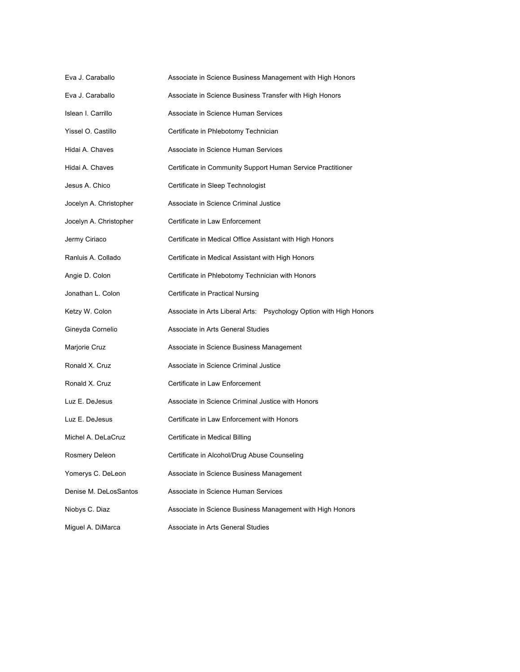| Eva J. Caraballo       | Associate in Science Business Management with High Honors          |
|------------------------|--------------------------------------------------------------------|
| Eva J. Caraballo       | Associate in Science Business Transfer with High Honors            |
| Islean I. Carrillo     | Associate in Science Human Services                                |
| Yissel O. Castillo     | Certificate in Phlebotomy Technician                               |
| Hidai A. Chaves        | Associate in Science Human Services                                |
| Hidai A. Chaves        | Certificate in Community Support Human Service Practitioner        |
| Jesus A. Chico         | Certificate in Sleep Technologist                                  |
| Jocelyn A. Christopher | Associate in Science Criminal Justice                              |
| Jocelyn A. Christopher | Certificate in Law Enforcement                                     |
| Jermy Ciriaco          | Certificate in Medical Office Assistant with High Honors           |
| Ranluis A. Collado     | Certificate in Medical Assistant with High Honors                  |
| Angie D. Colon         | Certificate in Phlebotomy Technician with Honors                   |
| Jonathan L. Colon      | Certificate in Practical Nursing                                   |
| Ketzy W. Colon         | Associate in Arts Liberal Arts: Psychology Option with High Honors |
| Gineyda Cornelio       | Associate in Arts General Studies                                  |
| Marjorie Cruz          | Associate in Science Business Management                           |
| Ronald X. Cruz         | Associate in Science Criminal Justice                              |
| Ronald X. Cruz         | Certificate in Law Enforcement                                     |
| Luz E. DeJesus         | Associate in Science Criminal Justice with Honors                  |
| Luz E. DeJesus         | Certificate in Law Enforcement with Honors                         |
| Michel A. DeLaCruz     | Certificate in Medical Billing                                     |
| Rosmery Deleon         | Certificate in Alcohol/Drug Abuse Counseling                       |
| Yomerys C. DeLeon      | Associate in Science Business Management                           |
| Denise M. DeLosSantos  | Associate in Science Human Services                                |
| Niobys C. Diaz         | Associate in Science Business Management with High Honors          |
| Miguel A. DiMarca      | Associate in Arts General Studies                                  |
|                        |                                                                    |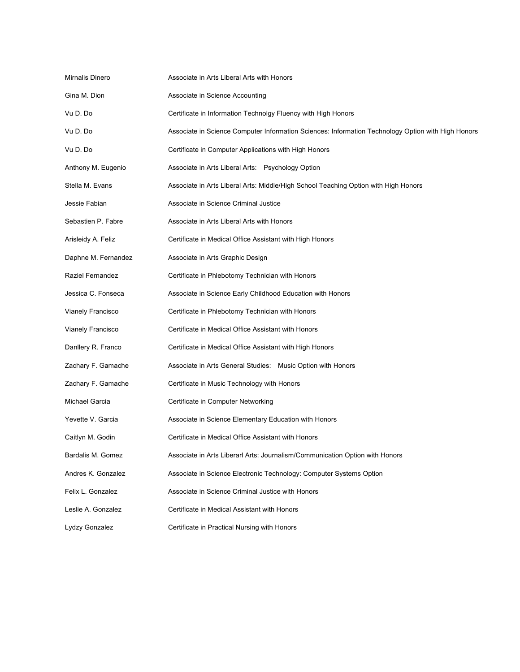| Mirnalis Dinero     | Associate in Arts Liberal Arts with Honors                                                         |
|---------------------|----------------------------------------------------------------------------------------------------|
| Gina M. Dion        | Associate in Science Accounting                                                                    |
| Vu D. Do            | Certificate in Information Technolgy Fluency with High Honors                                      |
| Vu D. Do            | Associate in Science Computer Information Sciences: Information Technology Option with High Honors |
| Vu D. Do            | Certificate in Computer Applications with High Honors                                              |
| Anthony M. Eugenio  | Associate in Arts Liberal Arts: Psychology Option                                                  |
| Stella M. Evans     | Associate in Arts Liberal Arts: Middle/High School Teaching Option with High Honors                |
| Jessie Fabian       | Associate in Science Criminal Justice                                                              |
| Sebastien P. Fabre  | Associate in Arts Liberal Arts with Honors                                                         |
| Arisleidy A. Feliz  | Certificate in Medical Office Assistant with High Honors                                           |
| Daphne M. Fernandez | Associate in Arts Graphic Design                                                                   |
| Raziel Fernandez    | Certificate in Phlebotomy Technician with Honors                                                   |
| Jessica C. Fonseca  | Associate in Science Early Childhood Education with Honors                                         |
| Vianely Francisco   | Certificate in Phlebotomy Technician with Honors                                                   |
| Vianely Francisco   | Certificate in Medical Office Assistant with Honors                                                |
| Danllery R. Franco  | Certificate in Medical Office Assistant with High Honors                                           |
| Zachary F. Gamache  | Associate in Arts General Studies: Music Option with Honors                                        |
| Zachary F. Gamache  | Certificate in Music Technology with Honors                                                        |
| Michael Garcia      | Certificate in Computer Networking                                                                 |
| Yevette V. Garcia   | Associate in Science Elementary Education with Honors                                              |
| Caitlyn M. Godin    | Certificate in Medical Office Assistant with Honors                                                |
| Bardalis M. Gomez   | Associate in Arts Liberarl Arts: Journalism/Communication Option with Honors                       |
| Andres K. Gonzalez  | Associate in Science Electronic Technology: Computer Systems Option                                |
| Felix L. Gonzalez   | Associate in Science Criminal Justice with Honors                                                  |
| Leslie A. Gonzalez  | Certificate in Medical Assistant with Honors                                                       |
| Lydzy Gonzalez      | Certificate in Practical Nursing with Honors                                                       |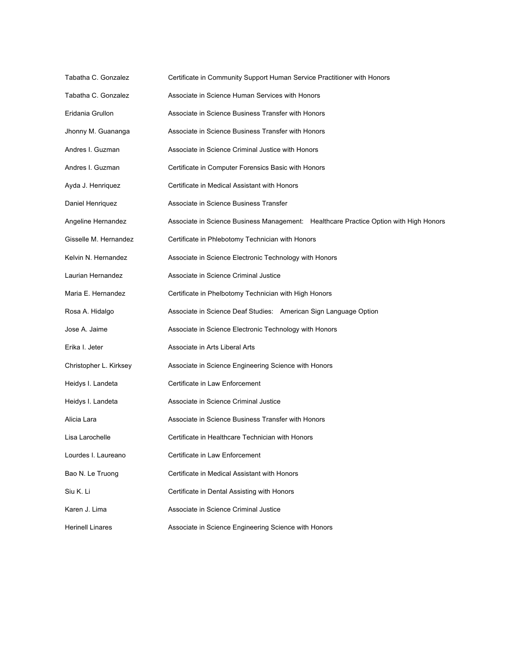| Certificate in Community Support Human Service Practitioner with Honors               |
|---------------------------------------------------------------------------------------|
| Associate in Science Human Services with Honors                                       |
| Associate in Science Business Transfer with Honors                                    |
| Associate in Science Business Transfer with Honors                                    |
| Associate in Science Criminal Justice with Honors                                     |
| Certificate in Computer Forensics Basic with Honors                                   |
| Certificate in Medical Assistant with Honors                                          |
| Associate in Science Business Transfer                                                |
| Associate in Science Business Management: Healthcare Practice Option with High Honors |
| Certificate in Phlebotomy Technician with Honors                                      |
| Associate in Science Electronic Technology with Honors                                |
| Associate in Science Criminal Justice                                                 |
| Certificate in Phelbotomy Technician with High Honors                                 |
| Associate in Science Deaf Studies: American Sign Language Option                      |
| Associate in Science Electronic Technology with Honors                                |
| Associate in Arts Liberal Arts                                                        |
| Associate in Science Engineering Science with Honors                                  |
| Certificate in Law Enforcement                                                        |
| Associate in Science Criminal Justice                                                 |
| Associate in Science Business Transfer with Honors                                    |
| Certificate in Healthcare Technician with Honors                                      |
| Certificate in Law Enforcement                                                        |
| Certificate in Medical Assistant with Honors                                          |
| Certificate in Dental Assisting with Honors                                           |
| Associate in Science Criminal Justice                                                 |
| Associate in Science Engineering Science with Honors                                  |
|                                                                                       |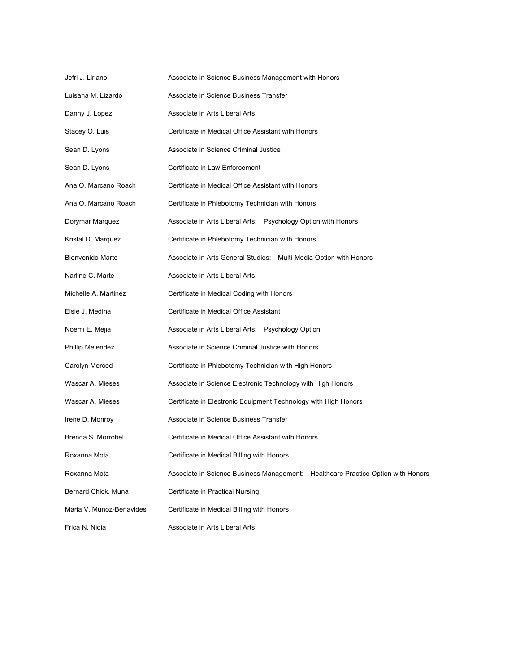| Jefri J. Liriano         | Associate in Science Business Management with Honors                             |
|--------------------------|----------------------------------------------------------------------------------|
| Luisana M. Lizardo       | Associate in Science Business Transfer                                           |
| Danny J. Lopez           | Associate in Arts Liberal Arts                                                   |
| Stacey O. Luis           | Certificate in Medical Office Assistant with Honors                              |
| Sean D. Lyons            | Associate in Science Criminal Justice                                            |
| Sean D. Lyons            | Certificate in Law Enforcement                                                   |
| Ana O. Marcano Roach     | Certificate in Medical Office Assistant with Honors                              |
| Ana O. Marcano Roach     | Certificate in Phlebotomy Technician with Honors                                 |
| Dorymar Marquez          | Associate in Arts Liberal Arts: Psychology Option with Honors                    |
| Kristal D. Marquez       | Certificate in Phlebotomy Technician with Honors                                 |
| Bienvenido Marte         | Associate in Arts General Studies: Multi-Media Option with Honors                |
| Narline C. Marte         | Associate in Arts Liberal Arts                                                   |
| Michelle A. Martinez     | Certificate in Medical Coding with Honors                                        |
| Elsie J. Medina          | Certificate in Medical Office Assistant                                          |
| Noemi E. Mejia           | Associate in Arts Liberal Arts: Psychology Option                                |
| Phillip Melendez         | Associate in Science Criminal Justice with Honors                                |
| Carolyn Merced           | Certificate in Phlebotomy Technician with High Honors                            |
| Wascar A. Mieses         | Associate in Science Electronic Technology with High Honors                      |
| Wascar A. Mieses         | Certificate in Electronic Equipment Technology with High Honors                  |
| Irene D. Monroy          | Associate in Science Business Transfer                                           |
| Brenda S. Morrobel       | Certificate in Medical Office Assistant with Honors                              |
| Roxanna Mota             | Certificate in Medical Billing with Honors                                       |
| Roxanna Mota             | Associate in Science Business Management: Healthcare Practice Option with Honors |
| Bernard Chick. Muna      | Certificate in Practical Nursing                                                 |
| Maria V. Munoz-Benavides | Certificate in Medical Billing with Honors                                       |
| Frica N. Nidia           | Associate in Arts Liberal Arts                                                   |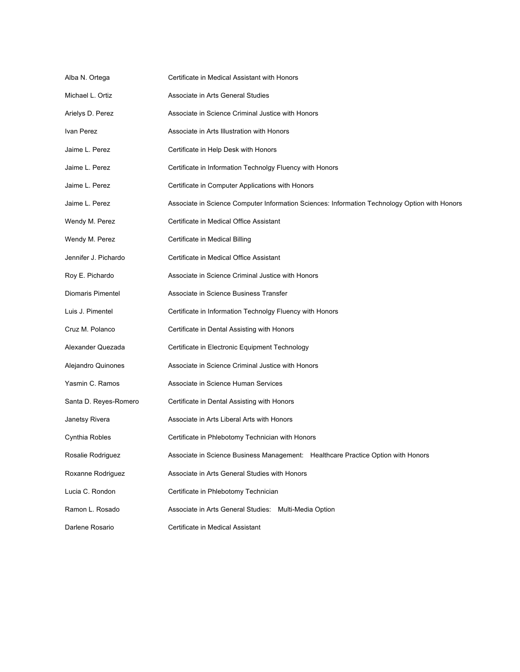| Alba N. Ortega        | Certificate in Medical Assistant with Honors                                                  |
|-----------------------|-----------------------------------------------------------------------------------------------|
| Michael L. Ortiz      | Associate in Arts General Studies                                                             |
| Arielys D. Perez      | Associate in Science Criminal Justice with Honors                                             |
| Ivan Perez            | Associate in Arts Illustration with Honors                                                    |
| Jaime L. Perez        | Certificate in Help Desk with Honors                                                          |
| Jaime L. Perez        | Certificate in Information Technolgy Fluency with Honors                                      |
| Jaime L. Perez        | Certificate in Computer Applications with Honors                                              |
| Jaime L. Perez        | Associate in Science Computer Information Sciences: Information Technology Option with Honors |
| Wendy M. Perez        | Certificate in Medical Office Assistant                                                       |
| Wendy M. Perez        | Certificate in Medical Billing                                                                |
| Jennifer J. Pichardo  | Certificate in Medical Office Assistant                                                       |
| Roy E. Pichardo       | Associate in Science Criminal Justice with Honors                                             |
| Diomaris Pimentel     | Associate in Science Business Transfer                                                        |
| Luis J. Pimentel      | Certificate in Information Technolgy Fluency with Honors                                      |
| Cruz M. Polanco       | Certificate in Dental Assisting with Honors                                                   |
| Alexander Quezada     | Certificate in Electronic Equipment Technology                                                |
| Alejandro Quinones    | Associate in Science Criminal Justice with Honors                                             |
| Yasmin C. Ramos       | Associate in Science Human Services                                                           |
| Santa D. Reyes-Romero | Certificate in Dental Assisting with Honors                                                   |
| Janetsy Rivera        | Associate in Arts Liberal Arts with Honors                                                    |
| Cynthia Robles        | Certificate in Phlebotomy Technician with Honors                                              |
| Rosalie Rodriguez     | Associate in Science Business Management: Healthcare Practice Option with Honors              |
| Roxanne Rodriquez     | Associate in Arts General Studies with Honors                                                 |
| Lucia C. Rondon       | Certificate in Phlebotomy Technician                                                          |
| Ramon L. Rosado       | Associate in Arts General Studies: Multi-Media Option                                         |
| Darlene Rosario       | Certificate in Medical Assistant                                                              |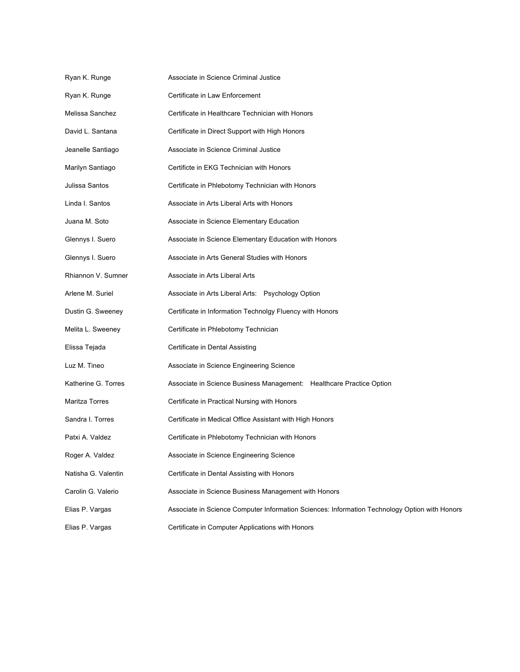| Ryan K. Runge         | Associate in Science Criminal Justice                                                         |
|-----------------------|-----------------------------------------------------------------------------------------------|
| Ryan K. Runge         | Certificate in Law Enforcement                                                                |
| Melissa Sanchez       | Certificate in Healthcare Technician with Honors                                              |
| David L. Santana      | Certificate in Direct Support with High Honors                                                |
| Jeanelle Santiago     | Associate in Science Criminal Justice                                                         |
| Marilyn Santiago      | Certificte in EKG Technician with Honors                                                      |
| Julissa Santos        | Certificate in Phlebotomy Technician with Honors                                              |
| Linda I. Santos       | Associate in Arts Liberal Arts with Honors                                                    |
| Juana M. Soto         | Associate in Science Elementary Education                                                     |
| Glennys I. Suero      | Associate in Science Elementary Education with Honors                                         |
| Glennys I. Suero      | Associate in Arts General Studies with Honors                                                 |
| Rhiannon V. Sumner    | Associate in Arts Liberal Arts                                                                |
| Arlene M. Suriel      | Associate in Arts Liberal Arts: Psychology Option                                             |
| Dustin G. Sweeney     | Certificate in Information Technolgy Fluency with Honors                                      |
| Melita L. Sweeney     | Certificate in Phlebotomy Technician                                                          |
| Elissa Tejada         | Certificate in Dental Assisting                                                               |
| Luz M. Tineo          | Associate in Science Engineering Science                                                      |
| Katherine G. Torres   | Associate in Science Business Management: Healthcare Practice Option                          |
| <b>Maritza Torres</b> | Certificate in Practical Nursing with Honors                                                  |
| Sandra I. Torres      | Certificate in Medical Office Assistant with High Honors                                      |
| Patxi A. Valdez       | Certificate in Phlebotomy Technician with Honors                                              |
| Roger A. Valdez       | Associate in Science Engineering Science                                                      |
| Natisha G. Valentin   | Certificate in Dental Assisting with Honors                                                   |
| Carolin G. Valerio    | Associate in Science Business Management with Honors                                          |
| Elias P. Vargas       | Associate in Science Computer Information Sciences: Information Technology Option with Honors |
| Elias P. Vargas       | Certificate in Computer Applications with Honors                                              |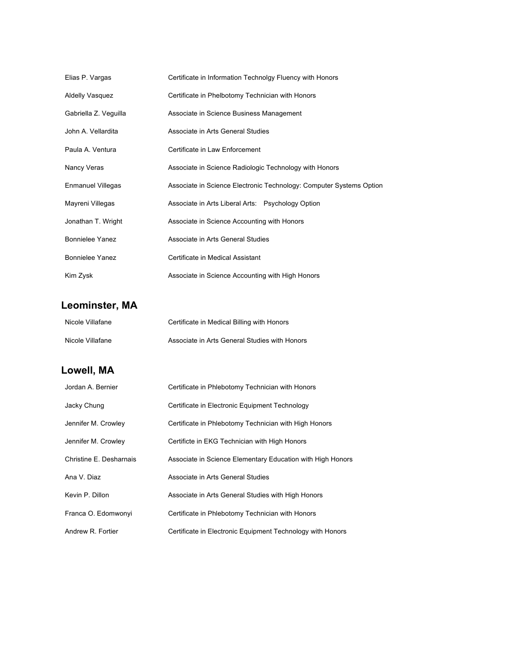| Elias P. Vargas          | Certificate in Information Technolgy Fluency with Honors            |
|--------------------------|---------------------------------------------------------------------|
| <b>Aldelly Vasquez</b>   | Certificate in Phelbotomy Technician with Honors                    |
| Gabriella Z. Veguilla    | Associate in Science Business Management                            |
| John A. Vellardita       | Associate in Arts General Studies                                   |
| Paula A. Ventura         | Certificate in Law Enforcement                                      |
| Nancy Veras              | Associate in Science Radiologic Technology with Honors              |
| <b>Enmanuel Villegas</b> | Associate in Science Electronic Technology: Computer Systems Option |
| Mayreni Villegas         | Associate in Arts Liberal Arts: Psychology Option                   |
| Jonathan T. Wright       | Associate in Science Accounting with Honors                         |
| Bonnielee Yanez          | Associate in Arts General Studies                                   |
| <b>Bonnielee Yanez</b>   | Certificate in Medical Assistant                                    |
| Kim Zysk                 | Associate in Science Accounting with High Honors                    |

# **Leominster, MA**

| Nicole Villafane | Certificate in Medical Billing with Honors    |
|------------------|-----------------------------------------------|
| Nicole Villafane | Associate in Arts General Studies with Honors |

# **Lowell, MA**

| Jordan A. Bernier       | Certificate in Phlebotomy Technician with Honors           |
|-------------------------|------------------------------------------------------------|
| Jacky Chung             | Certificate in Electronic Equipment Technology             |
| Jennifer M. Crowley     | Certificate in Phlebotomy Technician with High Honors      |
| Jennifer M. Crowley     | Certificte in EKG Technician with High Honors              |
| Christine E. Desharnais | Associate in Science Elementary Education with High Honors |
| Ana V. Diaz             | Associate in Arts General Studies                          |
| Kevin P. Dillon         | Associate in Arts General Studies with High Honors         |
| Franca O. Edomwonyi     | Certificate in Phlebotomy Technician with Honors           |
| Andrew R. Fortier       | Certificate in Electronic Equipment Technology with Honors |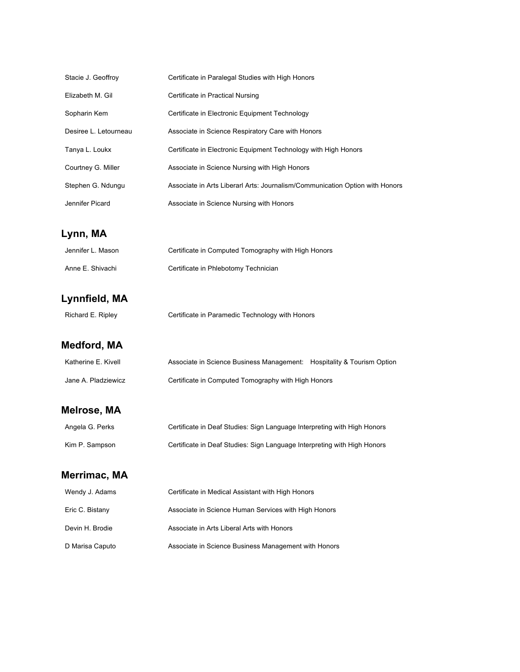| Stacie J. Geoffroy    | Certificate in Paralegal Studies with High Honors                            |
|-----------------------|------------------------------------------------------------------------------|
| Elizabeth M. Gil      | Certificate in Practical Nursing                                             |
| Sopharin Kem          | Certificate in Electronic Equipment Technology                               |
| Desiree L. Letourneau | Associate in Science Respiratory Care with Honors                            |
| Tanya L. Loukx        | Certificate in Electronic Equipment Technology with High Honors              |
| Courtney G. Miller    | Associate in Science Nursing with High Honors                                |
| Stephen G. Ndungu     | Associate in Arts Liberarl Arts: Journalism/Communication Option with Honors |
| Jennifer Picard       | Associate in Science Nursing with Honors                                     |

# **Lynn, MA**

| Jennifer L. Mason | Certificate in Computed Tomography with High Honors |
|-------------------|-----------------------------------------------------|
| Anne E. Shivachi  | Certificate in Phlebotomy Technician                |

# **Lynnfield, MA**

| Richard E. Ripley | Certificate in Paramedic Technology with Honors |
|-------------------|-------------------------------------------------|

# **Medford, MA**

| Katherine E. Kivell | Associate in Science Business Management: Hospitality & Tourism Option |  |
|---------------------|------------------------------------------------------------------------|--|
| Jane A. Pladziewicz | Certificate in Computed Tomography with High Honors                    |  |

### **Melrose, MA**

| Angela G. Perks | Certificate in Deaf Studies: Sign Language Interpreting with High Honors |
|-----------------|--------------------------------------------------------------------------|
| Kim P. Sampson  | Certificate in Deaf Studies: Sign Language Interpreting with High Honors |

# **Merrimac, MA**

| Wendy J. Adams  | Certificate in Medical Assistant with High Honors    |
|-----------------|------------------------------------------------------|
| Eric C. Bistany | Associate in Science Human Services with High Honors |
| Devin H. Brodie | Associate in Arts Liberal Arts with Honors           |
| D Marisa Caputo | Associate in Science Business Management with Honors |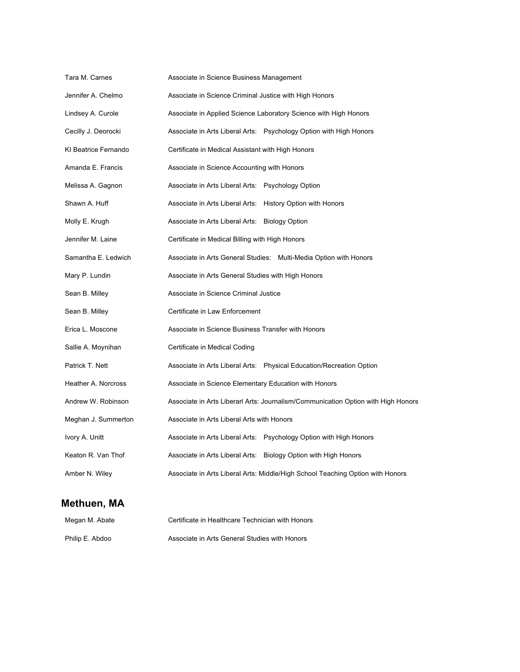| Tara M. Carnes       | Associate in Science Business Management                                          |
|----------------------|-----------------------------------------------------------------------------------|
| Jennifer A. Chelmo   | Associate in Science Criminal Justice with High Honors                            |
| Lindsey A. Curole    | Associate in Applied Science Laboratory Science with High Honors                  |
| Cecilly J. Deorocki  | Associate in Arts Liberal Arts: Psychology Option with High Honors                |
| KI Beatrice Fernando | Certificate in Medical Assistant with High Honors                                 |
| Amanda E. Francis    | Associate in Science Accounting with Honors                                       |
| Melissa A. Gagnon    | Associate in Arts Liberal Arts: Psychology Option                                 |
| Shawn A. Huff        | Associate in Arts Liberal Arts: History Option with Honors                        |
| Molly E. Krugh       | Associate in Arts Liberal Arts: Biology Option                                    |
| Jennifer M. Laine    | Certificate in Medical Billing with High Honors                                   |
| Samantha E. Ledwich  | Associate in Arts General Studies: Multi-Media Option with Honors                 |
| Mary P. Lundin       | Associate in Arts General Studies with High Honors                                |
| Sean B. Milley       | Associate in Science Criminal Justice                                             |
| Sean B. Milley       | Certificate in Law Enforcement                                                    |
| Erica L. Moscone     | Associate in Science Business Transfer with Honors                                |
| Sallie A. Moynihan   | Certificate in Medical Coding                                                     |
| Patrick T. Nett      | Associate in Arts Liberal Arts: Physical Education/Recreation Option              |
| Heather A. Norcross  | Associate in Science Elementary Education with Honors                             |
| Andrew W. Robinson   | Associate in Arts Liberarl Arts: Journalism/Communication Option with High Honors |
| Meghan J. Summerton  | Associate in Arts Liberal Arts with Honors                                        |
| Ivory A. Unitt       | Associate in Arts Liberal Arts: Psychology Option with High Honors                |
| Keaton R. Van Thof   | Associate in Arts Liberal Arts: Biology Option with High Honors                   |
| Amber N. Wiley       | Associate in Arts Liberal Arts: Middle/High School Teaching Option with Honors    |

### **Methuen, MA**

| Megan M. Abate  | Certificate in Healthcare Technician with Honors |
|-----------------|--------------------------------------------------|
| Philip E. Abdoo | Associate in Arts General Studies with Honors    |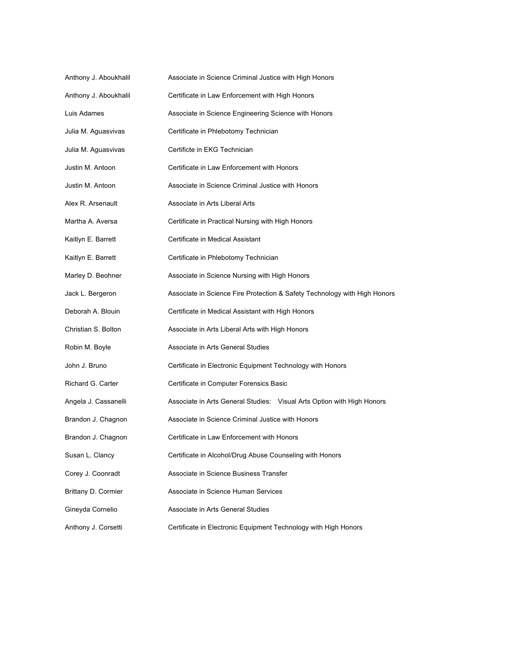| Anthony J. Aboukhalil | Associate in Science Criminal Justice with High Honors                    |
|-----------------------|---------------------------------------------------------------------------|
| Anthony J. Aboukhalil | Certificate in Law Enforcement with High Honors                           |
| Luis Adames           | Associate in Science Engineering Science with Honors                      |
| Julia M. Aguasvivas   | Certificate in Phlebotomy Technician                                      |
| Julia M. Aguasvivas   | Certificte in EKG Technician                                              |
| Justin M. Antoon      | Certificate in Law Enforcement with Honors                                |
| Justin M. Antoon      | Associate in Science Criminal Justice with Honors                         |
| Alex R. Arsenault     | Associate in Arts Liberal Arts                                            |
| Martha A. Aversa      | Certificate in Practical Nursing with High Honors                         |
| Kaitlyn E. Barrett    | Certificate in Medical Assistant                                          |
| Kaitlyn E. Barrett    | Certificate in Phlebotomy Technician                                      |
| Marley D. Beohner     | Associate in Science Nursing with High Honors                             |
| Jack L. Bergeron      | Associate in Science Fire Protection & Safety Technology with High Honors |
| Deborah A. Blouin     | Certificate in Medical Assistant with High Honors                         |
| Christian S. Bolton   | Associate in Arts Liberal Arts with High Honors                           |
| Robin M. Boyle        | Associate in Arts General Studies                                         |
| John J. Bruno         | Certificate in Electronic Equipment Technology with Honors                |
| Richard G. Carter     | Certificate in Computer Forensics Basic                                   |
| Angela J. Cassanelli  | Associate in Arts General Studies: Visual Arts Option with High Honors    |
| Brandon J. Chagnon    | Associate in Science Criminal Justice with Honors                         |
| Brandon J. Chagnon    | Certificate in Law Enforcement with Honors                                |
| Susan L. Clancy       | Certificate in Alcohol/Drug Abuse Counseling with Honors                  |
| Corey J. Coonradt     | Associate in Science Business Transfer                                    |
| Brittany D. Cormier   | Associate in Science Human Services                                       |
| Gineyda Cornelio      | Associate in Arts General Studies                                         |
| Anthony J. Corsetti   | Certificate in Electronic Equipment Technology with High Honors           |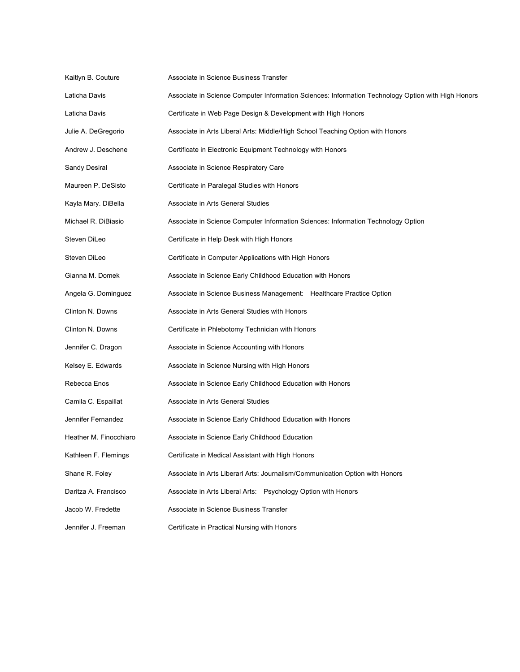| Kaitlyn B. Couture     | Associate in Science Business Transfer                                                             |
|------------------------|----------------------------------------------------------------------------------------------------|
| Laticha Davis          | Associate in Science Computer Information Sciences: Information Technology Option with High Honors |
| Laticha Davis          | Certificate in Web Page Design & Development with High Honors                                      |
| Julie A. DeGregorio    | Associate in Arts Liberal Arts: Middle/High School Teaching Option with Honors                     |
| Andrew J. Deschene     | Certificate in Electronic Equipment Technology with Honors                                         |
| Sandy Desiral          | Associate in Science Respiratory Care                                                              |
| Maureen P. DeSisto     | Certificate in Paralegal Studies with Honors                                                       |
| Kayla Mary. DiBella    | Associate in Arts General Studies                                                                  |
| Michael R. DiBiasio    | Associate in Science Computer Information Sciences: Information Technology Option                  |
| Steven DiLeo           | Certificate in Help Desk with High Honors                                                          |
| Steven DiLeo           | Certificate in Computer Applications with High Honors                                              |
| Gianna M. Domek        | Associate in Science Early Childhood Education with Honors                                         |
| Angela G. Dominguez    | Associate in Science Business Management: Healthcare Practice Option                               |
| Clinton N. Downs       | Associate in Arts General Studies with Honors                                                      |
| Clinton N. Downs       | Certificate in Phlebotomy Technician with Honors                                                   |
| Jennifer C. Dragon     | Associate in Science Accounting with Honors                                                        |
| Kelsey E. Edwards      | Associate in Science Nursing with High Honors                                                      |
| Rebecca Enos           | Associate in Science Early Childhood Education with Honors                                         |
| Camila C. Espaillat    | Associate in Arts General Studies                                                                  |
| Jennifer Fernandez     | Associate in Science Early Childhood Education with Honors                                         |
| Heather M. Finocchiaro | Associate in Science Early Childhood Education                                                     |
| Kathleen F. Flemings   | Certificate in Medical Assistant with High Honors                                                  |
| Shane R. Foley         | Associate in Arts Liberarl Arts: Journalism/Communication Option with Honors                       |
| Daritza A. Francisco   | Associate in Arts Liberal Arts: Psychology Option with Honors                                      |
| Jacob W. Fredette      | Associate in Science Business Transfer                                                             |
| Jennifer J. Freeman    | Certificate in Practical Nursing with Honors                                                       |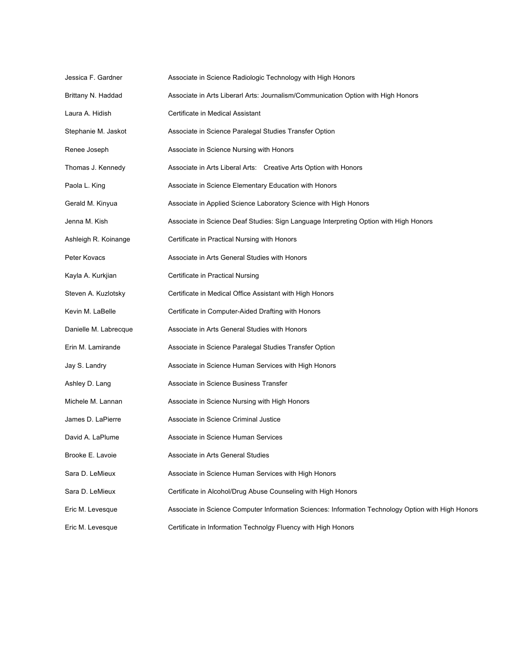| Jessica F. Gardner    | Associate in Science Radiologic Technology with High Honors                                        |
|-----------------------|----------------------------------------------------------------------------------------------------|
| Brittany N. Haddad    | Associate in Arts Liberarl Arts: Journalism/Communication Option with High Honors                  |
| Laura A. Hidish       | Certificate in Medical Assistant                                                                   |
| Stephanie M. Jaskot   | Associate in Science Paralegal Studies Transfer Option                                             |
| Renee Joseph          | Associate in Science Nursing with Honors                                                           |
| Thomas J. Kennedy     | Associate in Arts Liberal Arts: Creative Arts Option with Honors                                   |
| Paola L. King         | Associate in Science Elementary Education with Honors                                              |
| Gerald M. Kinyua      | Associate in Applied Science Laboratory Science with High Honors                                   |
| Jenna M. Kish         | Associate in Science Deaf Studies: Sign Language Interpreting Option with High Honors              |
| Ashleigh R. Koinange  | Certificate in Practical Nursing with Honors                                                       |
| Peter Kovacs          | Associate in Arts General Studies with Honors                                                      |
| Kayla A. Kurkjian     | Certificate in Practical Nursing                                                                   |
| Steven A. Kuzlotsky   | Certificate in Medical Office Assistant with High Honors                                           |
| Kevin M. LaBelle      | Certificate in Computer-Aided Drafting with Honors                                                 |
| Danielle M. Labrecque | Associate in Arts General Studies with Honors                                                      |
| Erin M. Lamirande     | Associate in Science Paralegal Studies Transfer Option                                             |
| Jay S. Landry         | Associate in Science Human Services with High Honors                                               |
| Ashley D. Lang        | Associate in Science Business Transfer                                                             |
| Michele M. Lannan     | Associate in Science Nursing with High Honors                                                      |
| James D. LaPierre     | Associate in Science Criminal Justice                                                              |
| David A. LaPlume      | Associate in Science Human Services                                                                |
| Brooke E. Lavoie      | Associate in Arts General Studies                                                                  |
| Sara D. LeMieux       | Associate in Science Human Services with High Honors                                               |
| Sara D. LeMieux       | Certificate in Alcohol/Drug Abuse Counseling with High Honors                                      |
| Eric M. Levesque      | Associate in Science Computer Information Sciences: Information Technology Option with High Honors |
| Eric M. Levesque      | Certificate in Information Technolgy Fluency with High Honors                                      |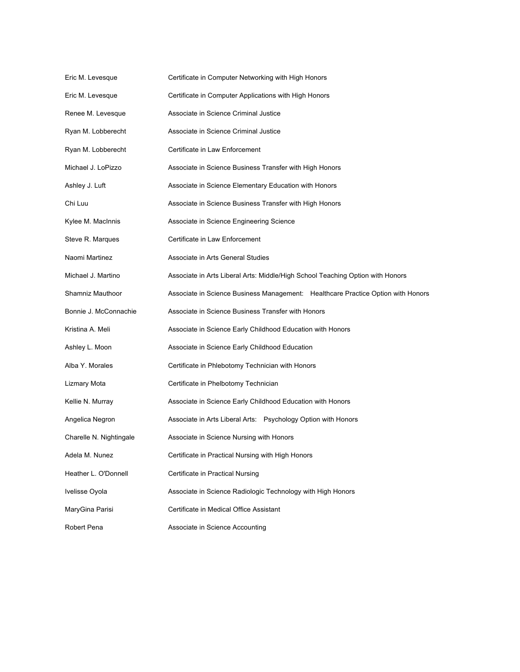| Eric M. Levesque        | Certificate in Computer Networking with High Honors                              |
|-------------------------|----------------------------------------------------------------------------------|
| Eric M. Levesque        | Certificate in Computer Applications with High Honors                            |
| Renee M. Levesque       | Associate in Science Criminal Justice                                            |
| Ryan M. Lobberecht      | Associate in Science Criminal Justice                                            |
| Ryan M. Lobberecht      | Certificate in Law Enforcement                                                   |
| Michael J. LoPizzo      | Associate in Science Business Transfer with High Honors                          |
| Ashley J. Luft          | Associate in Science Elementary Education with Honors                            |
| Chi Luu                 | Associate in Science Business Transfer with High Honors                          |
| Kylee M. MacInnis       | Associate in Science Engineering Science                                         |
| Steve R. Marques        | Certificate in Law Enforcement                                                   |
| Naomi Martinez          | Associate in Arts General Studies                                                |
| Michael J. Martino      | Associate in Arts Liberal Arts: Middle/High School Teaching Option with Honors   |
| Shamniz Mauthoor        | Associate in Science Business Management: Healthcare Practice Option with Honors |
| Bonnie J. McConnachie   | Associate in Science Business Transfer with Honors                               |
| Kristina A. Meli        | Associate in Science Early Childhood Education with Honors                       |
| Ashley L. Moon          | Associate in Science Early Childhood Education                                   |
| Alba Y. Morales         | Certificate in Phlebotomy Technician with Honors                                 |
| Lizmary Mota            | Certificate in Phelbotomy Technician                                             |
| Kellie N. Murray        | Associate in Science Early Childhood Education with Honors                       |
| Angelica Negron         | Associate in Arts Liberal Arts: Psychology Option with Honors                    |
| Charelle N. Nightingale | Associate in Science Nursing with Honors                                         |
| Adela M. Nunez          | Certificate in Practical Nursing with High Honors                                |
| Heather L. O'Donnell    | Certificate in Practical Nursing                                                 |
| Ivelisse Oyola          | Associate in Science Radiologic Technology with High Honors                      |
| MaryGina Parisi         | Certificate in Medical Office Assistant                                          |
| Robert Pena             | Associate in Science Accounting                                                  |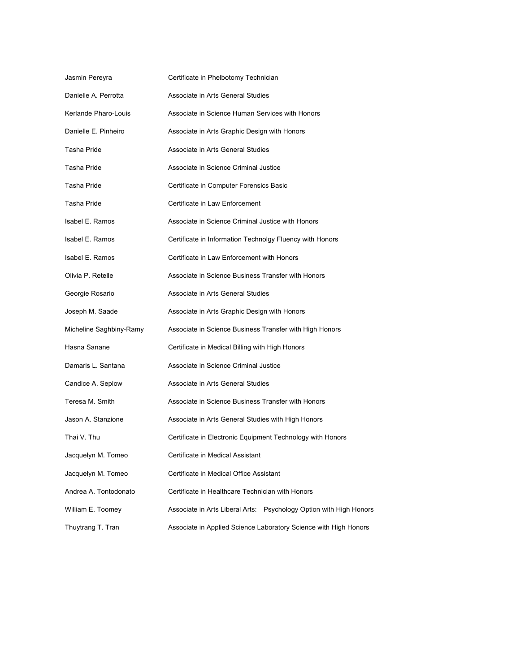| Jasmin Pereyra          | Certificate in Phelbotomy Technician                               |
|-------------------------|--------------------------------------------------------------------|
| Danielle A. Perrotta    | Associate in Arts General Studies                                  |
| Kerlande Pharo-Louis    | Associate in Science Human Services with Honors                    |
| Danielle E. Pinheiro    | Associate in Arts Graphic Design with Honors                       |
| Tasha Pride             | Associate in Arts General Studies                                  |
| Tasha Pride             | Associate in Science Criminal Justice                              |
| <b>Tasha Pride</b>      | Certificate in Computer Forensics Basic                            |
| Tasha Pride             | Certificate in Law Enforcement                                     |
| Isabel E. Ramos         | Associate in Science Criminal Justice with Honors                  |
| Isabel E. Ramos         | Certificate in Information Technolgy Fluency with Honors           |
| Isabel E. Ramos         | Certificate in Law Enforcement with Honors                         |
| Olivia P. Retelle       | Associate in Science Business Transfer with Honors                 |
| Georgie Rosario         | Associate in Arts General Studies                                  |
| Joseph M. Saade         | Associate in Arts Graphic Design with Honors                       |
| Micheline Saghbiny-Ramy | Associate in Science Business Transfer with High Honors            |
| Hasna Sanane            | Certificate in Medical Billing with High Honors                    |
| Damaris L. Santana      | Associate in Science Criminal Justice                              |
| Candice A. Seplow       | Associate in Arts General Studies                                  |
| Teresa M. Smith         | Associate in Science Business Transfer with Honors                 |
| Jason A. Stanzione      | Associate in Arts General Studies with High Honors                 |
| Thai V. Thu             | Certificate in Electronic Equipment Technology with Honors         |
| Jacquelyn M. Tomeo      | Certificate in Medical Assistant                                   |
| Jacquelyn M. Tomeo      | Certificate in Medical Office Assistant                            |
| Andrea A. Tontodonato   | Certificate in Healthcare Technician with Honors                   |
| William E. Toomey       | Associate in Arts Liberal Arts: Psychology Option with High Honors |
| Thuytrang T. Tran       | Associate in Applied Science Laboratory Science with High Honors   |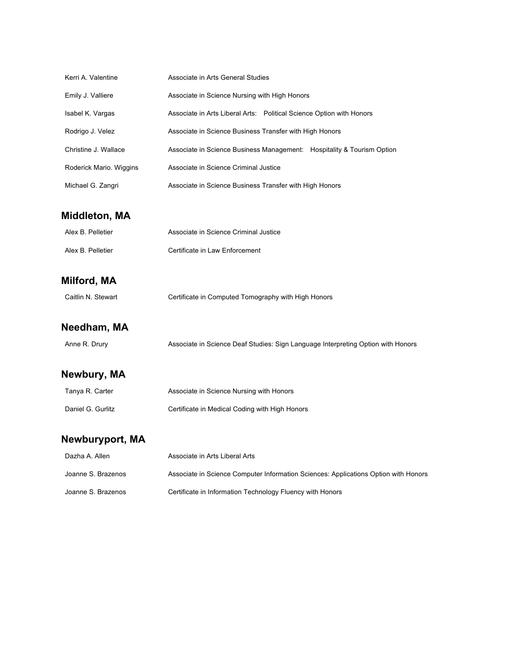| Kerri A. Valentine      | Associate in Arts General Studies                                                   |
|-------------------------|-------------------------------------------------------------------------------------|
| Emily J. Valliere       | Associate in Science Nursing with High Honors                                       |
| Isabel K. Vargas        | Associate in Arts Liberal Arts: Political Science Option with Honors                |
| Rodrigo J. Velez        | Associate in Science Business Transfer with High Honors                             |
| Christine J. Wallace    | Associate in Science Business Management: Hospitality & Tourism Option              |
| Roderick Mario. Wiggins | Associate in Science Criminal Justice                                               |
| Michael G. Zangri       | Associate in Science Business Transfer with High Honors                             |
| <b>Middleton, MA</b>    |                                                                                     |
| Alex B. Pelletier       | Associate in Science Criminal Justice                                               |
| Alex B. Pelletier       | Certificate in Law Enforcement                                                      |
| Milford, MA             |                                                                                     |
| Caitlin N. Stewart      | Certificate in Computed Tomography with High Honors                                 |
| Needham, MA             |                                                                                     |
| Anne R. Drury           | Associate in Science Deaf Studies: Sign Language Interpreting Option with Honors    |
| Newbury, MA             |                                                                                     |
| Tanya R. Carter         | Associate in Science Nursing with Honors                                            |
| Daniel G. Gurlitz       | Certificate in Medical Coding with High Honors                                      |
| <b>Newburyport, MA</b>  |                                                                                     |
| Dazha A. Allen          | Associate in Arts Liberal Arts                                                      |
| Joanne S. Brazenos      | Associate in Science Computer Information Sciences: Applications Option with Honors |
| Joanne S. Brazenos      | Certificate in Information Technology Fluency with Honors                           |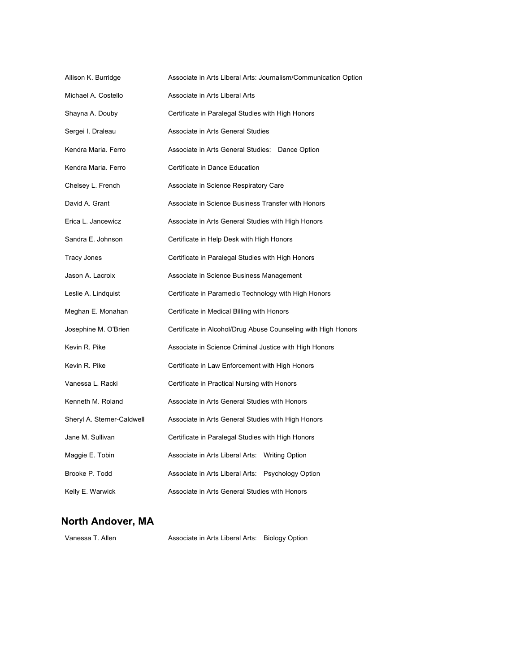| Allison K. Burridge        | Associate in Arts Liberal Arts: Journalism/Communication Option |  |
|----------------------------|-----------------------------------------------------------------|--|
| Michael A. Costello        | Associate in Arts Liberal Arts                                  |  |
| Shayna A. Douby            | Certificate in Paralegal Studies with High Honors               |  |
| Sergei I. Draleau          | Associate in Arts General Studies                               |  |
| Kendra Maria. Ferro        | Associate in Arts General Studies: Dance Option                 |  |
| Kendra Maria. Ferro        | Certificate in Dance Education                                  |  |
| Chelsey L. French          | Associate in Science Respiratory Care                           |  |
| David A. Grant             | Associate in Science Business Transfer with Honors              |  |
| Erica L. Jancewicz         | Associate in Arts General Studies with High Honors              |  |
| Sandra E. Johnson          | Certificate in Help Desk with High Honors                       |  |
| Tracy Jones                | Certificate in Paralegal Studies with High Honors               |  |
| Jason A. Lacroix           | Associate in Science Business Management                        |  |
| Leslie A. Lindquist        | Certificate in Paramedic Technology with High Honors            |  |
| Meghan E. Monahan          | Certificate in Medical Billing with Honors                      |  |
| Josephine M. O'Brien       | Certificate in Alcohol/Drug Abuse Counseling with High Honors   |  |
| Kevin R. Pike              | Associate in Science Criminal Justice with High Honors          |  |
| Kevin R. Pike              | Certificate in Law Enforcement with High Honors                 |  |
| Vanessa L. Racki           | Certificate in Practical Nursing with Honors                    |  |
| Kenneth M. Roland          | Associate in Arts General Studies with Honors                   |  |
| Sheryl A. Sterner-Caldwell | Associate in Arts General Studies with High Honors              |  |
| Jane M. Sullivan           | Certificate in Paralegal Studies with High Honors               |  |
| Maggie E. Tobin            | Associate in Arts Liberal Arts: Writing Option                  |  |
| Brooke P. Todd             | Associate in Arts Liberal Arts: Psychology Option               |  |
| Kelly E. Warwick           | Associate in Arts General Studies with Honors                   |  |

### **North Andover, MA**

| Vanessa T. Allen | Associate in Arts Liberal Arts: Biology Option |  |
|------------------|------------------------------------------------|--|
|                  |                                                |  |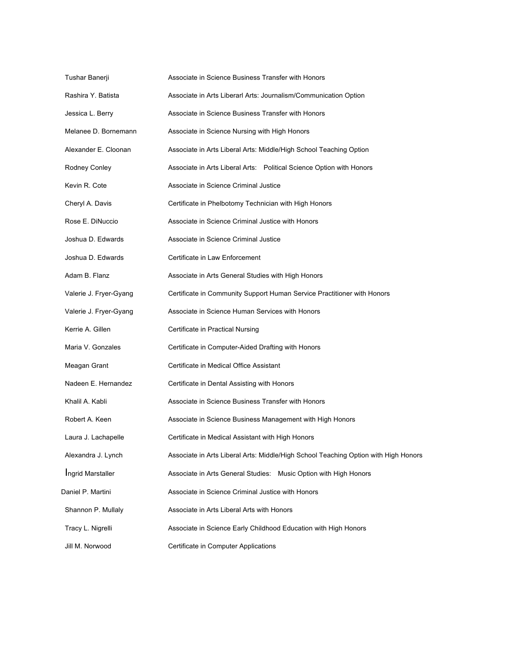| Tushar Banerji         | Associate in Science Business Transfer with Honors                                  |
|------------------------|-------------------------------------------------------------------------------------|
| Rashira Y. Batista     | Associate in Arts Liberarl Arts: Journalism/Communication Option                    |
| Jessica L. Berry       | Associate in Science Business Transfer with Honors                                  |
| Melanee D. Bornemann   | Associate in Science Nursing with High Honors                                       |
| Alexander E. Cloonan   | Associate in Arts Liberal Arts: Middle/High School Teaching Option                  |
| Rodney Conley          | Associate in Arts Liberal Arts: Political Science Option with Honors                |
| Kevin R. Cote          | Associate in Science Criminal Justice                                               |
| Cheryl A. Davis        | Certificate in Phelbotomy Technician with High Honors                               |
| Rose E. DiNuccio       | Associate in Science Criminal Justice with Honors                                   |
| Joshua D. Edwards      | Associate in Science Criminal Justice                                               |
| Joshua D. Edwards      | Certificate in Law Enforcement                                                      |
| Adam B. Flanz          | Associate in Arts General Studies with High Honors                                  |
| Valerie J. Fryer-Gyang | Certificate in Community Support Human Service Practitioner with Honors             |
| Valerie J. Fryer-Gyang | Associate in Science Human Services with Honors                                     |
| Kerrie A. Gillen       | Certificate in Practical Nursing                                                    |
| Maria V. Gonzales      | Certificate in Computer-Aided Drafting with Honors                                  |
| Meagan Grant           | Certificate in Medical Office Assistant                                             |
| Nadeen E. Hernandez    | Certificate in Dental Assisting with Honors                                         |
| Khalil A. Kabli        | Associate in Science Business Transfer with Honors                                  |
| Robert A. Keen         | Associate in Science Business Management with High Honors                           |
| Laura J. Lachapelle    | Certificate in Medical Assistant with High Honors                                   |
| Alexandra J. Lynch     | Associate in Arts Liberal Arts: Middle/High School Teaching Option with High Honors |
| Ingrid Marstaller      | Associate in Arts General Studies: Music Option with High Honors                    |
| Daniel P. Martini      | Associate in Science Criminal Justice with Honors                                   |
| Shannon P. Mullaly     | Associate in Arts Liberal Arts with Honors                                          |
| Tracy L. Nigrelli      | Associate in Science Early Childhood Education with High Honors                     |
| Jill M. Norwood        | Certificate in Computer Applications                                                |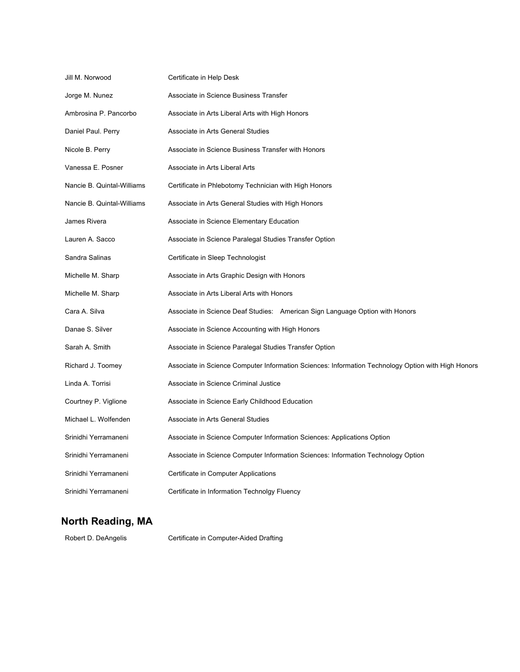| Jill M. Norwood            | Certificate in Help Desk                                                                           |
|----------------------------|----------------------------------------------------------------------------------------------------|
| Jorge M. Nunez             | Associate in Science Business Transfer                                                             |
| Ambrosina P. Pancorbo      | Associate in Arts Liberal Arts with High Honors                                                    |
| Daniel Paul. Perry         | Associate in Arts General Studies                                                                  |
| Nicole B. Perry            | Associate in Science Business Transfer with Honors                                                 |
| Vanessa E. Posner          | Associate in Arts Liberal Arts                                                                     |
| Nancie B. Quintal-Williams | Certificate in Phlebotomy Technician with High Honors                                              |
| Nancie B. Quintal-Williams | Associate in Arts General Studies with High Honors                                                 |
| James Rivera               | Associate in Science Elementary Education                                                          |
| Lauren A. Sacco            | Associate in Science Paralegal Studies Transfer Option                                             |
| Sandra Salinas             | Certificate in Sleep Technologist                                                                  |
| Michelle M. Sharp          | Associate in Arts Graphic Design with Honors                                                       |
| Michelle M. Sharp          | Associate in Arts Liberal Arts with Honors                                                         |
| Cara A. Silva              | Associate in Science Deaf Studies: American Sign Language Option with Honors                       |
| Danae S. Silver            | Associate in Science Accounting with High Honors                                                   |
| Sarah A. Smith             | Associate in Science Paralegal Studies Transfer Option                                             |
| Richard J. Toomey          | Associate in Science Computer Information Sciences: Information Technology Option with High Honors |
| Linda A. Torrisi           | Associate in Science Criminal Justice                                                              |
| Courtney P. Viglione       | Associate in Science Early Childhood Education                                                     |
| Michael L. Wolfenden       | Associate in Arts General Studies                                                                  |
| Srinidhi Yerramaneni       | Associate in Science Computer Information Sciences: Applications Option                            |
| Srinidhi Yerramaneni       | Associate in Science Computer Information Sciences: Information Technology Option                  |
| Srinidhi Yerramaneni       | Certificate in Computer Applications                                                               |
| Srinidhi Yerramaneni       | Certificate in Information Technolgy Fluency                                                       |

### **North Reading, MA**

Robert D. DeAngelis Certificate in Computer-Aided Drafting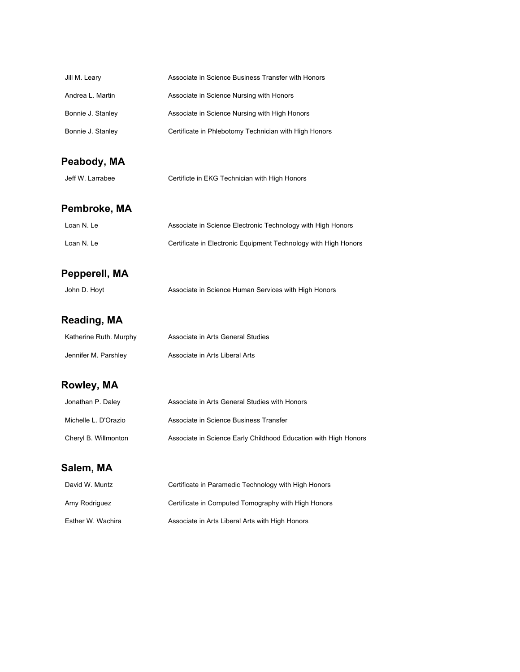| Jill M. Leary          | Associate in Science Business Transfer with Honors              |
|------------------------|-----------------------------------------------------------------|
| Andrea L. Martin       | Associate in Science Nursing with Honors                        |
| Bonnie J. Stanley      | Associate in Science Nursing with High Honors                   |
| Bonnie J. Stanley      | Certificate in Phlebotomy Technician with High Honors           |
| Peabody, MA            |                                                                 |
| Jeff W. Larrabee       | Certificte in EKG Technician with High Honors                   |
| Pembroke, MA           |                                                                 |
| Loan N. Le             | Associate in Science Electronic Technology with High Honors     |
| Loan N. Le             | Certificate in Electronic Equipment Technology with High Honors |
| Pepperell, MA          |                                                                 |
| John D. Hoyt           | Associate in Science Human Services with High Honors            |
| Reading, MA            |                                                                 |
| Katherine Ruth. Murphy | Associate in Arts General Studies                               |
| Jennifer M. Parshley   | Associate in Arts Liberal Arts                                  |
| Rowley, MA             |                                                                 |
| Jonathan P. Daley      | Associate in Arts General Studies with Honors                   |
| Michelle L. D'Orazio   | Associate in Science Business Transfer                          |
| Cheryl B. Willmonton   | Associate in Science Early Childhood Education with High Honors |
| Salem, MA              |                                                                 |
| David W. Muntz         | Certificate in Paramedic Technology with High Honors            |
| Amy Rodriguez          | Certificate in Computed Tomography with High Honors             |
| Esther W. Wachira      | Associate in Arts Liberal Arts with High Honors                 |
|                        |                                                                 |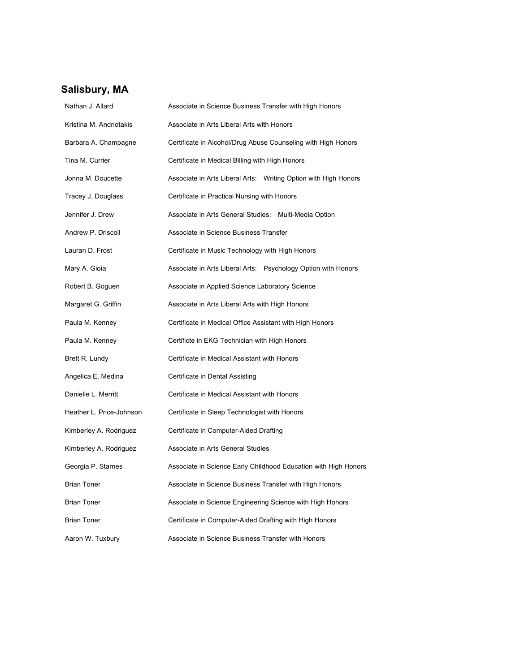# **Salisbury, MA**

| Nathan J. Allard         | Associate in Science Business Transfer with High Honors         |  |
|--------------------------|-----------------------------------------------------------------|--|
| Kristina M. Andriotakis  | Associate in Arts Liberal Arts with Honors                      |  |
| Barbara A. Champagne     | Certificate in Alcohol/Drug Abuse Counseling with High Honors   |  |
| Tina M. Currier          | Certificate in Medical Billing with High Honors                 |  |
| Jonna M. Doucette        | Associate in Arts Liberal Arts: Writing Option with High Honors |  |
| Tracey J. Douglass       | Certificate in Practical Nursing with Honors                    |  |
| Jennifer J. Drew         | Associate in Arts General Studies: Multi-Media Option           |  |
| Andrew P. Driscoll       | Associate in Science Business Transfer                          |  |
| Lauran D. Frost          | Certificate in Music Technology with High Honors                |  |
| Mary A. Gioia            | Associate in Arts Liberal Arts: Psychology Option with Honors   |  |
| Robert B. Goguen         | Associate in Applied Science Laboratory Science                 |  |
| Margaret G. Griffin      | Associate in Arts Liberal Arts with High Honors                 |  |
| Paula M. Kenney          | Certificate in Medical Office Assistant with High Honors        |  |
| Paula M. Kenney          | Certificte in EKG Technician with High Honors                   |  |
| Brett R. Lundy           | Certificate in Medical Assistant with Honors                    |  |
| Angelica E. Medina       | Certificate in Dental Assisting                                 |  |
| Danielle L. Merritt      | Certificate in Medical Assistant with Honors                    |  |
| Heather L. Price-Johnson | Certificate in Sleep Technologist with Honors                   |  |
| Kimberley A. Rodriguez   | Certificate in Computer-Aided Drafting                          |  |
| Kimberley A. Rodriguez   | Associate in Arts General Studies                               |  |
| Georgia P. Starnes       | Associate in Science Early Childhood Education with High Honors |  |
| <b>Brian Toner</b>       | Associate in Science Business Transfer with High Honors         |  |
| <b>Brian Toner</b>       | Associate in Science Engineering Science with High Honors       |  |
| Brian Toner              | Certificate in Computer-Aided Drafting with High Honors         |  |
| Aaron W. Tuxbury         | Associate in Science Business Transfer with Honors              |  |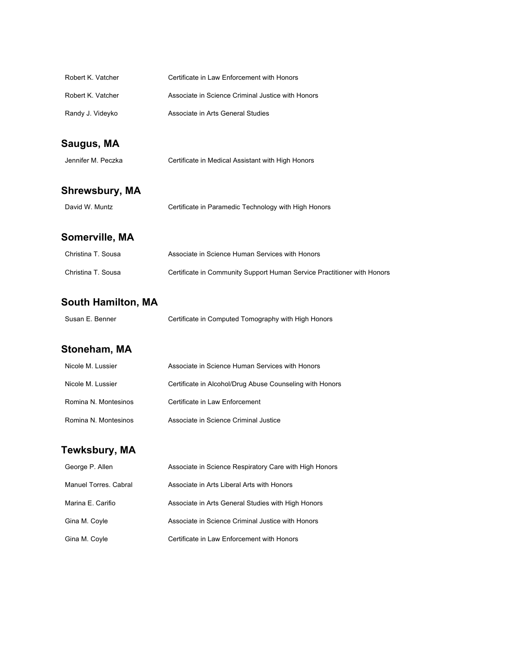| Robert K. Vatcher | Certificate in Law Enforcement with Honors        |
|-------------------|---------------------------------------------------|
| Robert K. Vatcher | Associate in Science Criminal Justice with Honors |
| Randy J. Videyko  | Associate in Arts General Studies                 |

# **Saugus, MA**

| Jennifer M. Peczka | Certificate in Medical Assistant with High Honors |
|--------------------|---------------------------------------------------|
|                    |                                                   |

# **Shrewsbury, MA**

# **Somerville, MA**

| Christina T. Sousa | Associate in Science Human Services with Honors                         |
|--------------------|-------------------------------------------------------------------------|
| Christina T. Sousa | Certificate in Community Support Human Service Practitioner with Honors |

# **South Hamilton, MA**

| Susan E. Benner |  | Certificate in Computed Tomography with High Honors |
|-----------------|--|-----------------------------------------------------|
|-----------------|--|-----------------------------------------------------|

### **Stoneham, MA**

| Nicole M. Lussier    | Associate in Science Human Services with Honors          |
|----------------------|----------------------------------------------------------|
| Nicole M. Lussier    | Certificate in Alcohol/Drug Abuse Counseling with Honors |
| Romina N. Montesinos | Certificate in Law Enforcement                           |
| Romina N. Montesinos | Associate in Science Criminal Justice                    |

# **Tewksbury, MA**

| George P. Allen       | Associate in Science Respiratory Care with High Honors |
|-----------------------|--------------------------------------------------------|
| Manuel Torres, Cabral | Associate in Arts Liberal Arts with Honors             |
| Marina E. Carifio     | Associate in Arts General Studies with High Honors     |
| Gina M. Coyle         | Associate in Science Criminal Justice with Honors      |
| Gina M. Coyle         | Certificate in Law Enforcement with Honors             |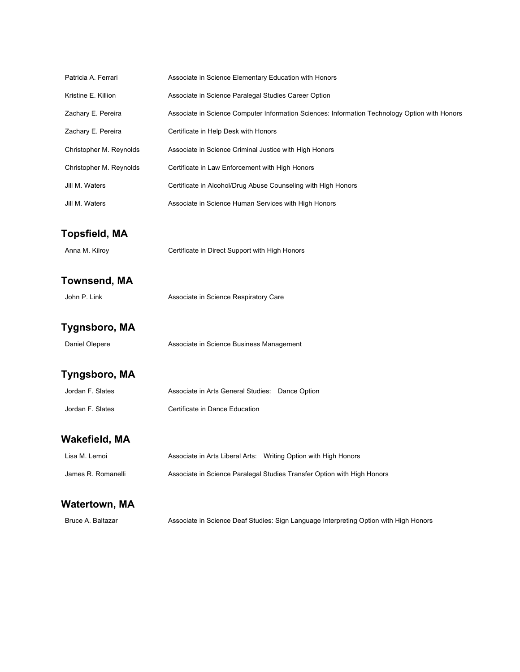| Patricia A. Ferrari     | Associate in Science Elementary Education with Honors                                         |
|-------------------------|-----------------------------------------------------------------------------------------------|
| Kristine E. Killion     | Associate in Science Paralegal Studies Career Option                                          |
| Zachary E. Pereira      | Associate in Science Computer Information Sciences: Information Technology Option with Honors |
| Zachary E. Pereira      | Certificate in Help Desk with Honors                                                          |
| Christopher M. Reynolds | Associate in Science Criminal Justice with High Honors                                        |
| Christopher M. Reynolds | Certificate in Law Enforcement with High Honors                                               |
| Jill M. Waters          | Certificate in Alcohol/Drug Abuse Counseling with High Honors                                 |
| Jill M. Waters          | Associate in Science Human Services with High Honors                                          |
| <b>Topsfield, MA</b>    |                                                                                               |
| Anna M. Kilroy          | Certificate in Direct Support with High Honors                                                |
| <b>Townsend, MA</b>     |                                                                                               |
| John P. Link            | Associate in Science Respiratory Care                                                         |
| Tygnsboro, MA           |                                                                                               |
| Daniel Olepere          | Associate in Science Business Management                                                      |
| Tyngsboro, MA           |                                                                                               |
| Jordan F. Slates        | Associate in Arts General Studies: Dance Option                                               |
| Jordan F. Slates        | Certificate in Dance Education                                                                |
| <b>Wakefield, MA</b>    |                                                                                               |
| Lisa M. Lemoi           | Associate in Arts Liberal Arts: Writing Option with High Honors                               |
| James R. Romanelli      | Associate in Science Paralegal Studies Transfer Option with High Honors                       |
| <b>Watertown, MA</b>    |                                                                                               |
| Bruce A. Baltazar       | Associate in Science Deaf Studies: Sign Language Interpreting Option with High Honors         |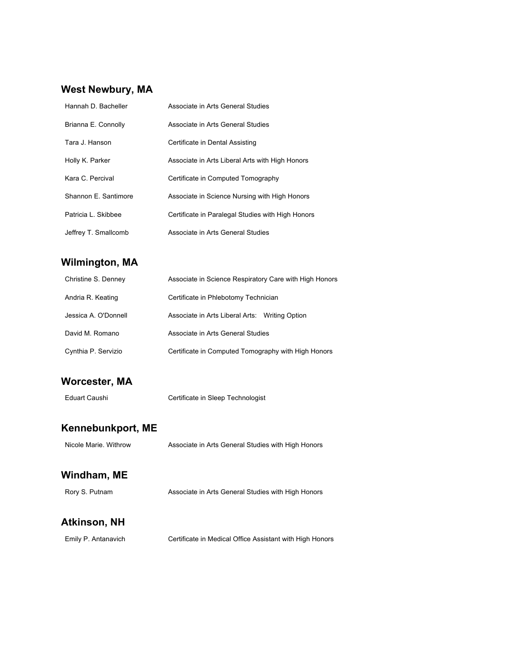#### **West Newbury, MA**

| Hannah D. Bacheller  | Associate in Arts General Studies                 |
|----------------------|---------------------------------------------------|
| Brianna E. Connolly  | Associate in Arts General Studies                 |
| Tara J. Hanson       | Certificate in Dental Assisting                   |
| Holly K. Parker      | Associate in Arts Liberal Arts with High Honors   |
| Kara C. Percival     | Certificate in Computed Tomography                |
| Shannon E. Santimore | Associate in Science Nursing with High Honors     |
| Patricia L. Skibbee  | Certificate in Paralegal Studies with High Honors |
| Jeffrey T. Smallcomb | Associate in Arts General Studies                 |

### **Wilmington, MA**

| Christine S. Denney  | Associate in Science Respiratory Care with High Honors |
|----------------------|--------------------------------------------------------|
| Andria R. Keating    | Certificate in Phlebotomy Technician                   |
| Jessica A. O'Donnell | Associate in Arts Liberal Arts: Writing Option         |
| David M. Romano      | Associate in Arts General Studies                      |
| Cynthia P. Servizio  | Certificate in Computed Tomography with High Honors    |

#### **Worcester, MA**

Eduart Caushi Certificate in Sleep Technologist

#### **Kennebunkport, ME**

Nicole Marie. Withrow Associate in Arts General Studies with High Honors

#### **Windham, ME**

Rory S. Putnam Associate in Arts General Studies with High Honors

#### **Atkinson, NH**

Emily P. Antanavich Certificate in Medical Office Assistant with High Honors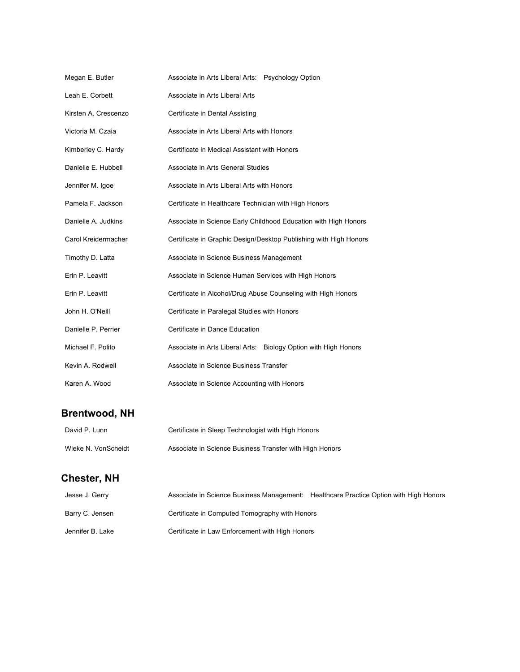| Megan E. Butler      | Associate in Arts Liberal Arts: Psychology Option                 |
|----------------------|-------------------------------------------------------------------|
| Leah E. Corbett      | Associate in Arts Liberal Arts                                    |
| Kirsten A. Crescenzo | Certificate in Dental Assisting                                   |
| Victoria M. Czaia    | Associate in Arts Liberal Arts with Honors                        |
| Kimberley C. Hardy   | Certificate in Medical Assistant with Honors                      |
| Danielle E. Hubbell  | Associate in Arts General Studies                                 |
| Jennifer M. Igoe     | Associate in Arts Liberal Arts with Honors                        |
| Pamela F. Jackson    | Certificate in Healthcare Technician with High Honors             |
| Danielle A. Judkins  | Associate in Science Early Childhood Education with High Honors   |
| Carol Kreidermacher  | Certificate in Graphic Design/Desktop Publishing with High Honors |
| Timothy D. Latta     | Associate in Science Business Management                          |
| Erin P. Leavitt      | Associate in Science Human Services with High Honors              |
| Erin P. Leavitt      | Certificate in Alcohol/Drug Abuse Counseling with High Honors     |
| John H. O'Neill      | Certificate in Paralegal Studies with Honors                      |
| Danielle P. Perrier  | Certificate in Dance Education                                    |
| Michael F. Polito    | Associate in Arts Liberal Arts: Biology Option with High Honors   |
| Kevin A. Rodwell     | Associate in Science Business Transfer                            |
| Karen A. Wood        | Associate in Science Accounting with Honors                       |

# **Brentwood, NH**

| David P. Lunn       | Certificate in Sleep Technologist with High Honors      |
|---------------------|---------------------------------------------------------|
| Wieke N. VonScheidt | Associate in Science Business Transfer with High Honors |

# **Chester, NH**

| Jesse J. Gerry   | Associate in Science Business Management: Healthcare Practice Option with High Honors |  |
|------------------|---------------------------------------------------------------------------------------|--|
| Barry C. Jensen  | Certificate in Computed Tomography with Honors                                        |  |
| Jennifer B. Lake | Certificate in Law Enforcement with High Honors                                       |  |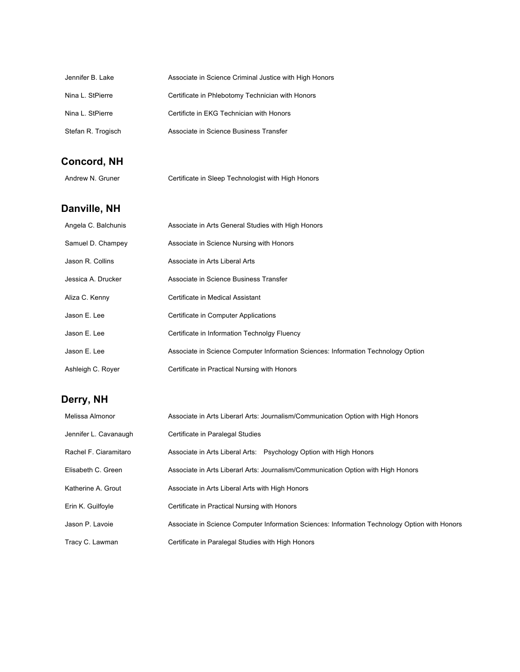| Jennifer B. Lake   | Associate in Science Criminal Justice with High Honors |
|--------------------|--------------------------------------------------------|
| Nina L. StPierre   | Certificate in Phlebotomy Technician with Honors       |
| Nina L. StPierre   | Certificte in EKG Technician with Honors               |
| Stefan R. Trogisch | Associate in Science Business Transfer                 |

# **Concord, NH**

# **Danville, NH**

| Angela C. Balchunis | Associate in Arts General Studies with High Honors                                |
|---------------------|-----------------------------------------------------------------------------------|
| Samuel D. Champey   | Associate in Science Nursing with Honors                                          |
| Jason R. Collins    | Associate in Arts Liberal Arts                                                    |
| Jessica A. Drucker  | Associate in Science Business Transfer                                            |
| Aliza C. Kenny      | Certificate in Medical Assistant                                                  |
| Jason E. Lee        | Certificate in Computer Applications                                              |
| Jason E. Lee        | Certificate in Information Technolgy Fluency                                      |
| Jason E. Lee        | Associate in Science Computer Information Sciences: Information Technology Option |
| Ashleigh C. Royer   | Certificate in Practical Nursing with Honors                                      |

# **Derry, NH**

| Melissa Almonor       | Associate in Arts Liberarl Arts: Journalism/Communication Option with High Honors             |
|-----------------------|-----------------------------------------------------------------------------------------------|
| Jennifer L. Cavanaugh | Certificate in Paralegal Studies                                                              |
| Rachel F. Ciaramitaro | Associate in Arts Liberal Arts: Psychology Option with High Honors                            |
| Elisabeth C. Green    | Associate in Arts Liberarl Arts: Journalism/Communication Option with High Honors             |
| Katherine A. Grout    | Associate in Arts Liberal Arts with High Honors                                               |
| Erin K. Guilfoyle     | Certificate in Practical Nursing with Honors                                                  |
| Jason P. Lavoie       | Associate in Science Computer Information Sciences: Information Technology Option with Honors |
| Tracy C. Lawman       | Certificate in Paralegal Studies with High Honors                                             |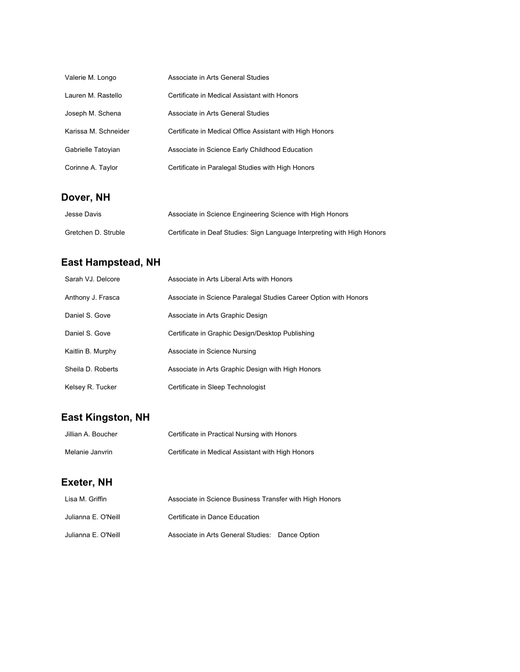| Valerie M. Longo     | Associate in Arts General Studies                        |
|----------------------|----------------------------------------------------------|
| Lauren M. Rastello   | Certificate in Medical Assistant with Honors             |
| Joseph M. Schena     | Associate in Arts General Studies                        |
| Karissa M. Schneider | Certificate in Medical Office Assistant with High Honors |
| Gabrielle Tatoyian   | Associate in Science Early Childhood Education           |
| Corinne A. Taylor    | Certificate in Paralegal Studies with High Honors        |

# **Dover, NH**

| Jesse Davis         | Associate in Science Engineering Science with High Honors                |
|---------------------|--------------------------------------------------------------------------|
| Gretchen D. Struble | Certificate in Deaf Studies: Sign Language Interpreting with High Honors |

# **East Hampstead, NH**

| Sarah VJ. Delcore | Associate in Arts Liberal Arts with Honors                       |
|-------------------|------------------------------------------------------------------|
| Anthony J. Frasca | Associate in Science Paralegal Studies Career Option with Honors |
| Daniel S. Gove    | Associate in Arts Graphic Design                                 |
| Daniel S. Gove    | Certificate in Graphic Design/Desktop Publishing                 |
| Kaitlin B. Murphy | Associate in Science Nursing                                     |
| Sheila D. Roberts | Associate in Arts Graphic Design with High Honors                |
| Kelsey R. Tucker  | Certificate in Sleep Technologist                                |

# **East Kingston, NH**

| Jillian A. Boucher | Certificate in Practical Nursing with Honors      |
|--------------------|---------------------------------------------------|
| Melanie Janvrin    | Certificate in Medical Assistant with High Honors |

# **Exeter, NH**

| Lisa M. Griffin     | Associate in Science Business Transfer with High Honors |  |
|---------------------|---------------------------------------------------------|--|
| Julianna E. O'Neill | Certificate in Dance Education                          |  |
| Julianna E. O'Neill | Associate in Arts General Studies: Dance Option         |  |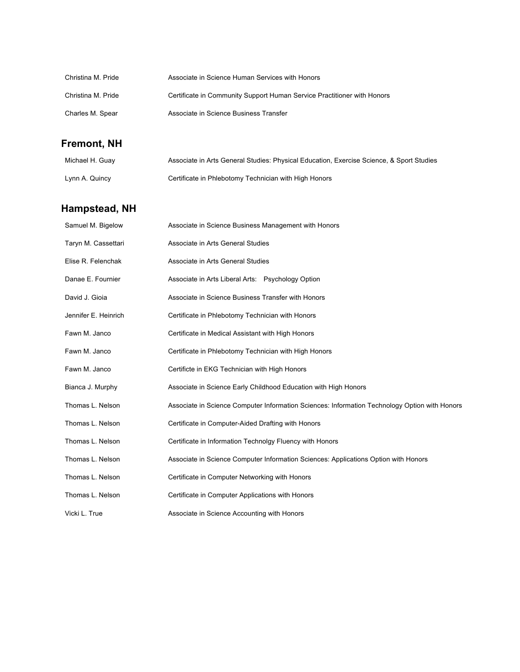| Christina M. Pride | Associate in Science Human Services with Honors                         |
|--------------------|-------------------------------------------------------------------------|
| Christina M. Pride | Certificate in Community Support Human Service Practitioner with Honors |
| Charles M. Spear   | Associate in Science Business Transfer                                  |

# **Fremont, NH**

| Michael H. Guay | Associate in Arts General Studies: Physical Education, Exercise Science, & Sport Studies |
|-----------------|------------------------------------------------------------------------------------------|
| Lynn A. Quincy  | Certificate in Phlebotomy Technician with High Honors                                    |

# **Hampstead, NH**

| Samuel M. Bigelow    | Associate in Science Business Management with Honors                                          |
|----------------------|-----------------------------------------------------------------------------------------------|
| Taryn M. Cassettari  | Associate in Arts General Studies                                                             |
| Elise R. Felenchak   | Associate in Arts General Studies                                                             |
| Danae E. Fournier    | Associate in Arts Liberal Arts: Psychology Option                                             |
| David J. Gioja       | Associate in Science Business Transfer with Honors                                            |
| Jennifer E. Heinrich | Certificate in Phlebotomy Technician with Honors                                              |
| Fawn M. Janco        | Certificate in Medical Assistant with High Honors                                             |
| Fawn M. Janco        | Certificate in Phlebotomy Technician with High Honors                                         |
| Fawn M. Janco        | Certificte in EKG Technician with High Honors                                                 |
| Bianca J. Murphy     | Associate in Science Early Childhood Education with High Honors                               |
| Thomas L. Nelson     | Associate in Science Computer Information Sciences: Information Technology Option with Honors |
| Thomas L. Nelson     | Certificate in Computer-Aided Drafting with Honors                                            |
| Thomas L. Nelson     | Certificate in Information Technolgy Fluency with Honors                                      |
| Thomas L. Nelson     | Associate in Science Computer Information Sciences: Applications Option with Honors           |
| Thomas L. Nelson     | Certificate in Computer Networking with Honors                                                |
| Thomas L. Nelson     | Certificate in Computer Applications with Honors                                              |
| Vicki L. True        | Associate in Science Accounting with Honors                                                   |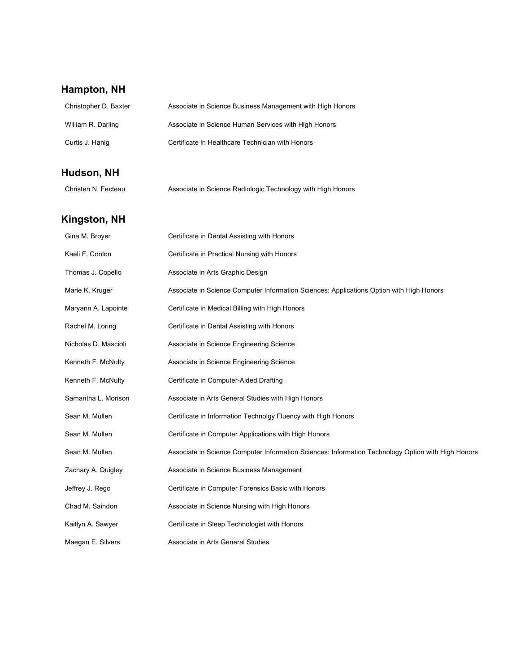# **Hampton, NH**

| Christopher D. Baxter | Associate in Science Business Management with High Honors                                          |
|-----------------------|----------------------------------------------------------------------------------------------------|
| William R. Darling    | Associate in Science Human Services with High Honors                                               |
| Curtis J. Hanig       | Certificate in Healthcare Technician with Honors                                                   |
| Hudson, NH            |                                                                                                    |
| Christen N. Fecteau   | Associate in Science Radiologic Technology with High Honors                                        |
| Kingston, NH          |                                                                                                    |
| Gina M. Broyer        | Certificate in Dental Assisting with Honors                                                        |
| Kaeli F. Conlon       | Certificate in Practical Nursing with Honors                                                       |
| Thomas J. Copello     | Associate in Arts Graphic Design                                                                   |
| Marie K. Kruger       | Associate in Science Computer Information Sciences: Applications Option with High Honors           |
| Maryann A. Lapointe   | Certificate in Medical Billing with High Honors                                                    |
| Rachel M. Loring      | Certificate in Dental Assisting with Honors                                                        |
| Nicholas D. Mascioli  | Associate in Science Engineering Science                                                           |
| Kenneth F. McNulty    | Associate in Science Engineering Science                                                           |
| Kenneth F. McNulty    | Certificate in Computer-Aided Drafting                                                             |
| Samantha L. Morison   | Associate in Arts General Studies with High Honors                                                 |
| Sean M. Mullen        | Certificate in Information Technolgy Fluency with High Honors                                      |
| Sean M. Mullen        | Certificate in Computer Applications with High Honors                                              |
| Sean M. Mullen        | Associate in Science Computer Information Sciences: Information Technology Option with High Honors |
| Zachary A. Quigley    | Associate in Science Business Management                                                           |
| Jeffrey J. Rego       | Certificate in Computer Forensics Basic with Honors                                                |
| Chad M. Saindon       | Associate in Science Nursing with High Honors                                                      |
| Kaitlyn A. Sawyer     | Certificate in Sleep Technologist with Honors                                                      |
| Maegan E. Silvers     | Associate in Arts General Studies                                                                  |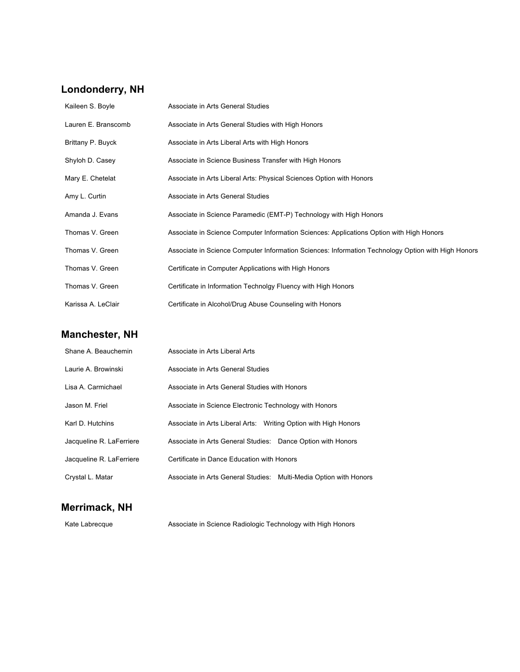#### **Londonderry, NH**

| Kaileen S. Boyle    | Associate in Arts General Studies                                                                  |
|---------------------|----------------------------------------------------------------------------------------------------|
| Lauren E. Branscomb | Associate in Arts General Studies with High Honors                                                 |
| Brittany P. Buyck   | Associate in Arts Liberal Arts with High Honors                                                    |
| Shyloh D. Casey     | Associate in Science Business Transfer with High Honors                                            |
| Mary E. Chetelat    | Associate in Arts Liberal Arts: Physical Sciences Option with Honors                               |
| Amy L. Curtin       | Associate in Arts General Studies                                                                  |
| Amanda J. Evans     | Associate in Science Paramedic (EMT-P) Technology with High Honors                                 |
| Thomas V. Green     | Associate in Science Computer Information Sciences: Applications Option with High Honors           |
| Thomas V. Green     | Associate in Science Computer Information Sciences: Information Technology Option with High Honors |
| Thomas V. Green     | Certificate in Computer Applications with High Honors                                              |
| Thomas V. Green     | Certificate in Information Technolgy Fluency with High Honors                                      |
| Karissa A. LeClair  | Certificate in Alcohol/Drug Abuse Counseling with Honors                                           |

# **Manchester, NH**

| Shane A. Beauchemin      | Associate in Arts Liberal Arts                                  |                                |
|--------------------------|-----------------------------------------------------------------|--------------------------------|
| Laurie A. Browinski      | Associate in Arts General Studies                               |                                |
| Lisa A. Carmichael       | Associate in Arts General Studies with Honors                   |                                |
| Jason M. Friel           | Associate in Science Electronic Technology with Honors          |                                |
| Karl D. Hutchins         | Associate in Arts Liberal Arts: Writing Option with High Honors |                                |
| Jacqueline R. LaFerriere | Associate in Arts General Studies: Dance Option with Honors     |                                |
| Jacqueline R. LaFerriere | Certificate in Dance Education with Honors                      |                                |
| Crystal L. Matar         | Associate in Arts General Studies:                              | Multi-Media Option with Honors |

### **Merrimack, NH**

Kate Labrecque **Associate in Science Radiologic Technology with High Honors**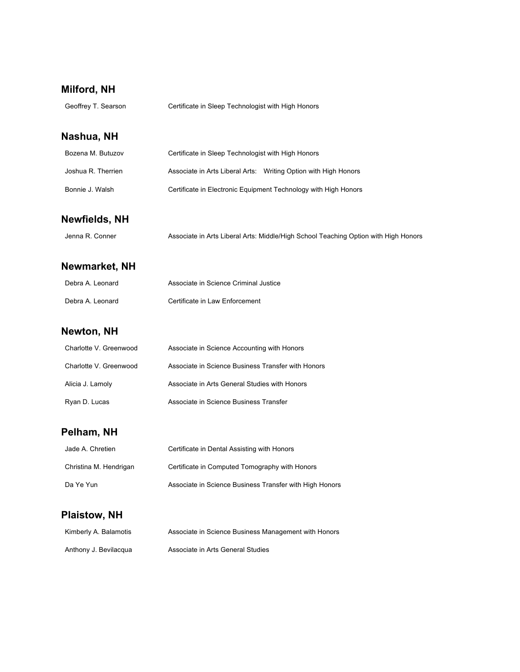### **Milford, NH**

| Geoffrey T. Searson | Certificate in Sleep Technologist with High Honors |
|---------------------|----------------------------------------------------|
|                     |                                                    |

### **Nashua, NH**

| Bozena M. Butuzov  | Certificate in Sleep Technologist with High Honors              |
|--------------------|-----------------------------------------------------------------|
| Joshua R. Therrien | Associate in Arts Liberal Arts: Writing Option with High Honors |
| Bonnie J. Walsh    | Certificate in Electronic Equipment Technology with High Honors |

#### **Newfields, NH**

| Jenna R. Conner | Associate in Arts Liberal Arts: Middle/High School Teaching Option with High Honors |  |  |  |
|-----------------|-------------------------------------------------------------------------------------|--|--|--|
|-----------------|-------------------------------------------------------------------------------------|--|--|--|

### **Newmarket, NH**

| Debra A. Leonard | Associate in Science Criminal Justice |
|------------------|---------------------------------------|
| Debra A. Leonard | Certificate in Law Enforcement        |

### **Newton, NH**

| Charlotte V. Greenwood | Associate in Science Accounting with Honors        |
|------------------------|----------------------------------------------------|
| Charlotte V. Greenwood | Associate in Science Business Transfer with Honors |
| Alicia J. Lamoly       | Associate in Arts General Studies with Honors      |
| Ryan D. Lucas          | Associate in Science Business Transfer             |

# **Pelham, NH**

| Jade A. Chretien       | Certificate in Dental Assisting with Honors             |
|------------------------|---------------------------------------------------------|
| Christina M. Hendrigan | Certificate in Computed Tomography with Honors          |
| Da Ye Yun              | Associate in Science Business Transfer with High Honors |

### **Plaistow, NH**

| Kimberly A. Balamotis | Associate in Science Business Management with Honors |
|-----------------------|------------------------------------------------------|
| Anthony J. Bevilacqua | Associate in Arts General Studies                    |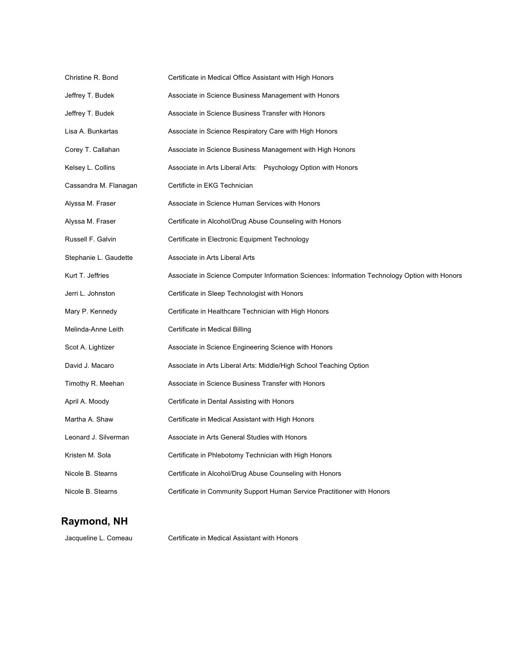| Christine R. Bond     | Certificate in Medical Office Assistant with High Honors                                      |
|-----------------------|-----------------------------------------------------------------------------------------------|
| Jeffrey T. Budek      | Associate in Science Business Management with Honors                                          |
| Jeffrey T. Budek      | Associate in Science Business Transfer with Honors                                            |
| Lisa A. Bunkartas     | Associate in Science Respiratory Care with High Honors                                        |
| Corey T. Callahan     | Associate in Science Business Management with High Honors                                     |
| Kelsey L. Collins     | Associate in Arts Liberal Arts: Psychology Option with Honors                                 |
| Cassandra M. Flanagan | Certificte in EKG Technician                                                                  |
| Alyssa M. Fraser      | Associate in Science Human Services with Honors                                               |
| Alyssa M. Fraser      | Certificate in Alcohol/Drug Abuse Counseling with Honors                                      |
| Russell F. Galvin     | Certificate in Electronic Equipment Technology                                                |
| Stephanie L. Gaudette | Associate in Arts Liberal Arts                                                                |
| Kurt T. Jeffries      | Associate in Science Computer Information Sciences: Information Technology Option with Honors |
| Jerri L. Johnston     | Certificate in Sleep Technologist with Honors                                                 |
| Mary P. Kennedy       | Certificate in Healthcare Technician with High Honors                                         |
| Melinda-Anne Leith    | Certificate in Medical Billing                                                                |
| Scot A. Lightizer     | Associate in Science Engineering Science with Honors                                          |
| David J. Macaro       | Associate in Arts Liberal Arts: Middle/High School Teaching Option                            |
| Timothy R. Meehan     | Associate in Science Business Transfer with Honors                                            |
| April A. Moody        | Certificate in Dental Assisting with Honors                                                   |
| Martha A. Shaw        | Certificate in Medical Assistant with High Honors                                             |
| Leonard J. Silverman  | Associate in Arts General Studies with Honors                                                 |
| Kristen M. Sola       | Certificate in Phlebotomy Technician with High Honors                                         |
| Nicole B. Stearns     | Certificate in Alcohol/Drug Abuse Counseling with Honors                                      |
| Nicole B. Stearns     | Certificate in Community Support Human Service Practitioner with Honors                       |

### **Raymond, NH**

Jacqueline L. Comeau Certificate in Medical Assistant with Honors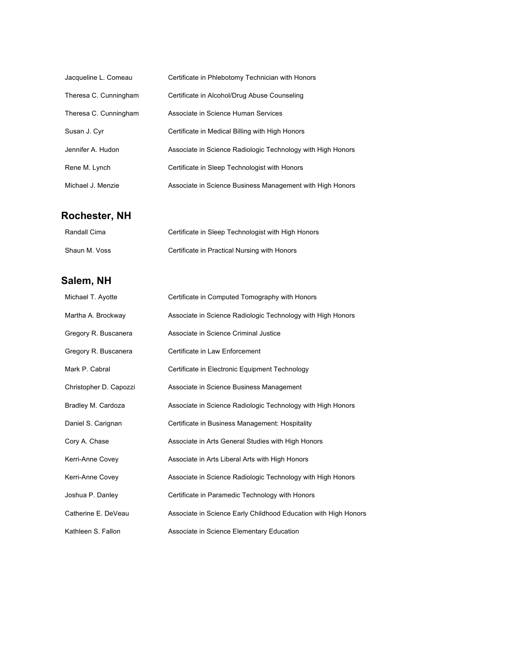| Jacqueline L. Comeau  | Certificate in Phlebotomy Technician with Honors            |
|-----------------------|-------------------------------------------------------------|
| Theresa C. Cunningham | Certificate in Alcohol/Drug Abuse Counseling                |
| Theresa C. Cunningham | Associate in Science Human Services                         |
| Susan J. Cyr          | Certificate in Medical Billing with High Honors             |
| Jennifer A. Hudon     | Associate in Science Radiologic Technology with High Honors |
| Rene M. Lynch         | Certificate in Sleep Technologist with Honors               |
| Michael J. Menzie     | Associate in Science Business Management with High Honors   |

# **Rochester, NH**

| Randall Cima  | Certificate in Sleep Technologist with High Honors |
|---------------|----------------------------------------------------|
| Shaun M. Voss | Certificate in Practical Nursing with Honors       |

### **Salem, NH**

| Michael T. Ayotte      | Certificate in Computed Tomography with Honors                  |
|------------------------|-----------------------------------------------------------------|
| Martha A. Brockway     | Associate in Science Radiologic Technology with High Honors     |
| Gregory R. Buscanera   | Associate in Science Criminal Justice                           |
| Gregory R. Buscanera   | Certificate in Law Enforcement                                  |
| Mark P. Cabral         | Certificate in Electronic Equipment Technology                  |
| Christopher D. Capozzi | Associate in Science Business Management                        |
| Bradley M. Cardoza     | Associate in Science Radiologic Technology with High Honors     |
| Daniel S. Carignan     | Certificate in Business Management: Hospitality                 |
| Cory A. Chase          | Associate in Arts General Studies with High Honors              |
| Kerri-Anne Covey       | Associate in Arts Liberal Arts with High Honors                 |
| Kerri-Anne Covey       | Associate in Science Radiologic Technology with High Honors     |
| Joshua P. Danley       | Certificate in Paramedic Technology with Honors                 |
| Catherine E. DeVeau    | Associate in Science Early Childhood Education with High Honors |
| Kathleen S. Fallon     | Associate in Science Elementary Education                       |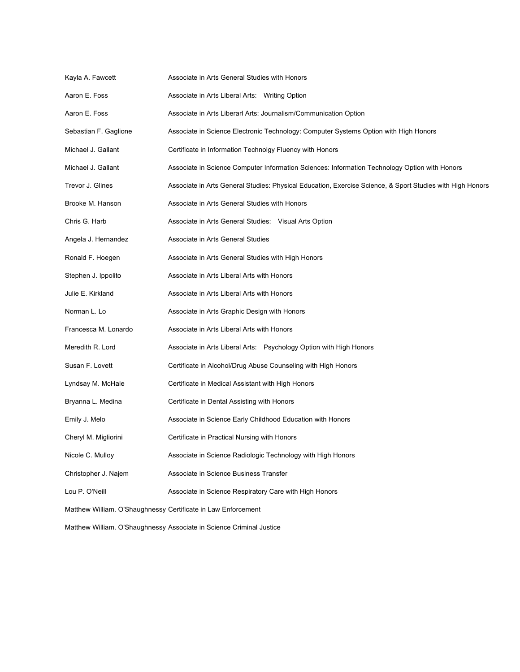| Kayla A. Fawcett                                              | Associate in Arts General Studies with Honors                                                             |  |
|---------------------------------------------------------------|-----------------------------------------------------------------------------------------------------------|--|
| Aaron E. Foss                                                 | Associate in Arts Liberal Arts: Writing Option                                                            |  |
| Aaron E. Foss                                                 | Associate in Arts Liberarl Arts: Journalism/Communication Option                                          |  |
| Sebastian F. Gaglione                                         | Associate in Science Electronic Technology: Computer Systems Option with High Honors                      |  |
| Michael J. Gallant                                            | Certificate in Information Technolgy Fluency with Honors                                                  |  |
| Michael J. Gallant                                            | Associate in Science Computer Information Sciences: Information Technology Option with Honors             |  |
| Trevor J. Glines                                              | Associate in Arts General Studies: Physical Education, Exercise Science, & Sport Studies with High Honors |  |
| Brooke M. Hanson                                              | Associate in Arts General Studies with Honors                                                             |  |
| Chris G. Harb                                                 | Associate in Arts General Studies: Visual Arts Option                                                     |  |
| Angela J. Hernandez                                           | Associate in Arts General Studies                                                                         |  |
| Ronald F. Hoegen                                              | Associate in Arts General Studies with High Honors                                                        |  |
| Stephen J. Ippolito                                           | Associate in Arts Liberal Arts with Honors                                                                |  |
| Julie E. Kirkland                                             | Associate in Arts Liberal Arts with Honors                                                                |  |
| Norman L. Lo                                                  | Associate in Arts Graphic Design with Honors                                                              |  |
| Francesca M. Lonardo                                          | Associate in Arts Liberal Arts with Honors                                                                |  |
| Meredith R. Lord                                              | Associate in Arts Liberal Arts: Psychology Option with High Honors                                        |  |
| Susan F. Lovett                                               | Certificate in Alcohol/Drug Abuse Counseling with High Honors                                             |  |
| Lyndsay M. McHale                                             | Certificate in Medical Assistant with High Honors                                                         |  |
| Bryanna L. Medina                                             | Certificate in Dental Assisting with Honors                                                               |  |
| Emily J. Melo                                                 | Associate in Science Early Childhood Education with Honors                                                |  |
| Cheryl M. Migliorini                                          | Certificate in Practical Nursing with Honors                                                              |  |
| Nicole C. Mulloy                                              | Associate in Science Radiologic Technology with High Honors                                               |  |
| Christopher J. Najem                                          | Associate in Science Business Transfer                                                                    |  |
| Lou P. O'Neill                                                | Associate in Science Respiratory Care with High Honors                                                    |  |
| Matthew William. O'Shaughnessy Certificate in Law Enforcement |                                                                                                           |  |

Matthew William. O'Shaughnessy Associate in Science Criminal Justice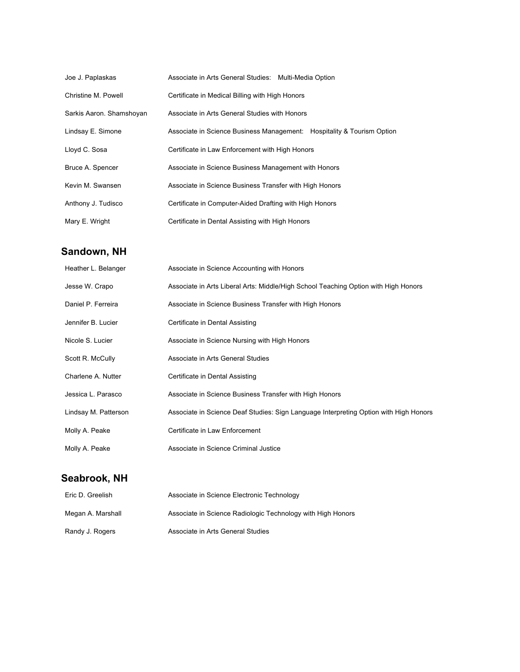| Joe J. Paplaskas         | Associate in Arts General Studies: Multi-Media Option                  |
|--------------------------|------------------------------------------------------------------------|
| Christine M. Powell      | Certificate in Medical Billing with High Honors                        |
| Sarkis Aaron. Shamshoyan | Associate in Arts General Studies with Honors                          |
| Lindsay E. Simone        | Associate in Science Business Management: Hospitality & Tourism Option |
| Lloyd C. Sosa            | Certificate in Law Enforcement with High Honors                        |
| Bruce A. Spencer         | Associate in Science Business Management with Honors                   |
| Kevin M. Swansen         | Associate in Science Business Transfer with High Honors                |
| Anthony J. Tudisco       | Certificate in Computer-Aided Drafting with High Honors                |
| Mary E. Wright           | Certificate in Dental Assisting with High Honors                       |

### **Sandown, NH**

| Heather L. Belanger  | Associate in Science Accounting with Honors                                           |
|----------------------|---------------------------------------------------------------------------------------|
| Jesse W. Crapo       | Associate in Arts Liberal Arts: Middle/High School Teaching Option with High Honors   |
| Daniel P. Ferreira   | Associate in Science Business Transfer with High Honors                               |
| Jennifer B. Lucier   | Certificate in Dental Assisting                                                       |
| Nicole S. Lucier     | Associate in Science Nursing with High Honors                                         |
| Scott R. McCully     | Associate in Arts General Studies                                                     |
| Charlene A. Nutter   | Certificate in Dental Assisting                                                       |
| Jessica L. Parasco   | Associate in Science Business Transfer with High Honors                               |
| Lindsay M. Patterson | Associate in Science Deaf Studies: Sign Language Interpreting Option with High Honors |
| Molly A. Peake       | Certificate in Law Enforcement                                                        |
| Molly A. Peake       | Associate in Science Criminal Justice                                                 |

# **Seabrook, NH**

| Eric D. Greelish  | Associate in Science Electronic Technology                  |
|-------------------|-------------------------------------------------------------|
| Megan A. Marshall | Associate in Science Radiologic Technology with High Honors |
| Randy J. Rogers   | Associate in Arts General Studies                           |